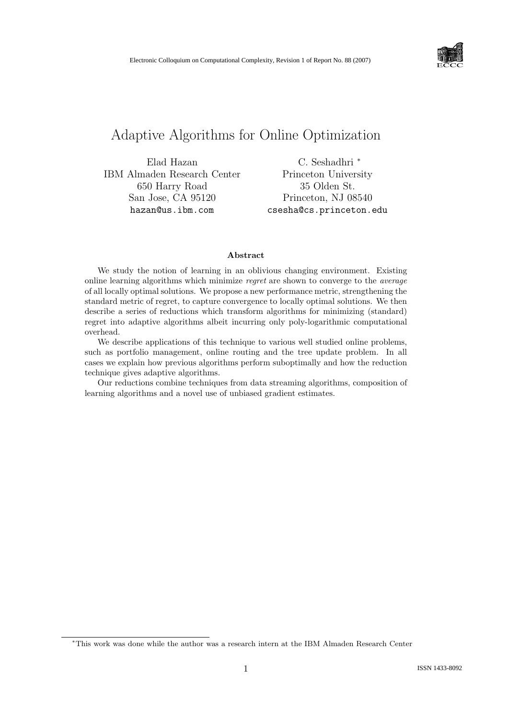

# Adaptive Algorithms for Online Optimization

Elad Hazan IBM Almaden Research Center 650 Harry Road San Jose, CA 95120 hazan@us.ibm.com

C. Seshadhri <sup>∗</sup> Princeton University 35 Olden St. Princeton, NJ 08540 csesha@cs.princeton.edu

#### Abstract

We study the notion of learning in an oblivious changing environment. Existing online learning algorithms which minimize regret are shown to converge to the average of all locally optimal solutions. We propose a new performance metric, strengthening the standard metric of regret, to capture convergence to locally optimal solutions. We then describe a series of reductions which transform algorithms for minimizing (standard) regret into adaptive algorithms albeit incurring only poly-logarithmic computational overhead.

We describe applications of this technique to various well studied online problems, such as portfolio management, online routing and the tree update problem. In all cases we explain how previous algorithms perform suboptimally and how the reduction technique gives adaptive algorithms.

Our reductions combine techniques from data streaming algorithms, composition of learning algorithms and a novel use of unbiased gradient estimates.

<sup>∗</sup>This work was done while the author was a research intern at the IBM Almaden Research Center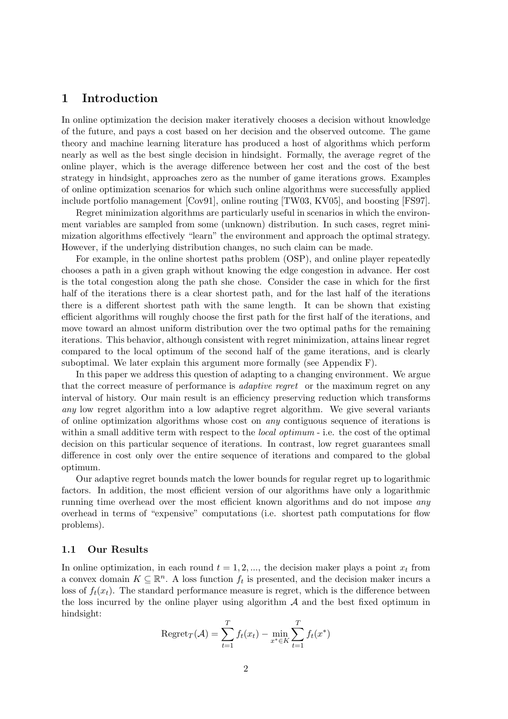### 1 Introduction

In online optimization the decision maker iteratively chooses a decision without knowledge of the future, and pays a cost based on her decision and the observed outcome. The game theory and machine learning literature has produced a host of algorithms which perform nearly as well as the best single decision in hindsight. Formally, the average regret of the online player, which is the average difference between her cost and the cost of the best strategy in hindsight, approaches zero as the number of game iterations grows. Examples of online optimization scenarios for which such online algorithms were successfully applied include portfolio management [Cov91], online routing [TW03, KV05], and boosting [FS97].

Regret minimization algorithms are particularly useful in scenarios in which the environment variables are sampled from some (unknown) distribution. In such cases, regret minimization algorithms effectively "learn" the environment and approach the optimal strategy. However, if the underlying distribution changes, no such claim can be made.

For example, in the online shortest paths problem (OSP), and online player repeatedly chooses a path in a given graph without knowing the edge congestion in advance. Her cost is the total congestion along the path she chose. Consider the case in which for the first half of the iterations there is a clear shortest path, and for the last half of the iterations there is a different shortest path with the same length. It can be shown that existing efficient algorithms will roughly choose the first path for the first half of the iterations, and move toward an almost uniform distribution over the two optimal paths for the remaining iterations. This behavior, although consistent with regret minimization, attains linear regret compared to the local optimum of the second half of the game iterations, and is clearly suboptimal. We later explain this argument more formally (see Appendix F).

In this paper we address this question of adapting to a changing environment. We argue that the correct measure of performance is adaptive regret or the maximum regret on any interval of history. Our main result is an efficiency preserving reduction which transforms any low regret algorithm into a low adaptive regret algorithm. We give several variants of online optimization algorithms whose cost on any contiguous sequence of iterations is within a small additive term with respect to the *local optimum* - i.e. the cost of the optimal decision on this particular sequence of iterations. In contrast, low regret guarantees small difference in cost only over the entire sequence of iterations and compared to the global optimum.

Our adaptive regret bounds match the lower bounds for regular regret up to logarithmic factors. In addition, the most efficient version of our algorithms have only a logarithmic running time overhead over the most efficient known algorithms and do not impose any overhead in terms of "expensive" computations (i.e. shortest path computations for flow problems).

### 1.1 Our Results

In online optimization, in each round  $t = 1, 2, \dots$ , the decision maker plays a point  $x_t$  from a convex domain  $K \subseteq \mathbb{R}^n$ . A loss function  $f_t$  is presented, and the decision maker incurs a loss of  $f_t(x_t)$ . The standard performance measure is regret, which is the difference between the loss incurred by the online player using algorithm  $A$  and the best fixed optimum in hindsight:

$$
\text{Regret}_{T}(\mathcal{A}) = \sum_{t=1}^{T} f_t(x_t) - \min_{x^* \in K} \sum_{t=1}^{T} f_t(x^*)
$$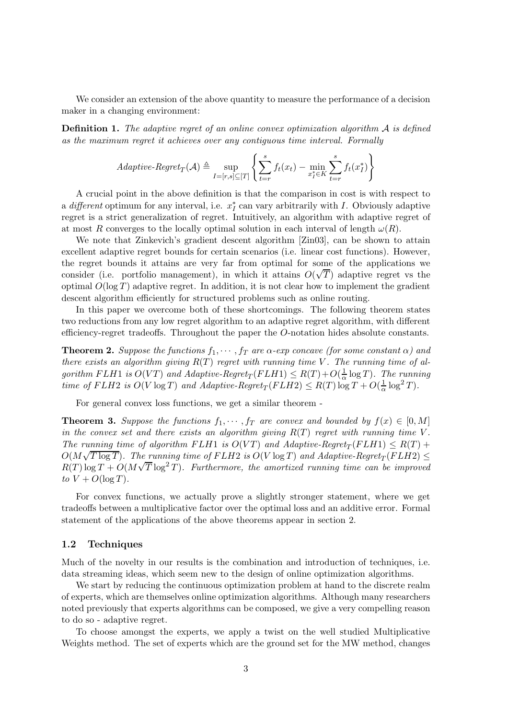We consider an extension of the above quantity to measure the performance of a decision maker in a changing environment:

Definition 1. The adaptive regret of an online convex optimization algorithm A is defined as the maximum regret it achieves over any contiguous time interval. Formally

$$
Adaptive \text{-}Regret_T(\mathcal{A}) \triangleq \sup_{I=[r,s]\subseteq[T]} \left\{ \sum_{t=r}^{s} f_t(x_t) - \min_{x_t^* \in K} \sum_{t=r}^{s} f_t(x_t^*) \right\}
$$

A crucial point in the above definition is that the comparison in cost is with respect to a *different* optimum for any interval, i.e.  $x_I^*$  can vary arbitrarily with I. Obviously adaptive regret is a strict generalization of regret. Intuitively, an algorithm with adaptive regret of at most R converges to the locally optimal solution in each interval of length  $\omega(R)$ .

We note that Zinkevich's gradient descent algorithm [Zin03], can be shown to attain excellent adaptive regret bounds for certain scenarios (i.e. linear cost functions). However, the regret bounds it attains are very far from optimal for some of the applications we consider (i.e. portfolio management), in which it attains  $O(\sqrt{T})$  adaptive regret vs the optimal  $O(\log T)$  adaptive regret. In addition, it is not clear how to implement the gradient descent algorithm efficiently for structured problems such as online routing.

In this paper we overcome both of these shortcomings. The following theorem states two reductions from any low regret algorithm to an adaptive regret algorithm, with different efficiency-regret tradeoffs. Throughout the paper the O-notation hides absolute constants.

**Theorem 2.** Suppose the functions  $f_1, \dots, f_T$  are  $\alpha$ -exp concave (for some constant  $\alpha$ ) and there exists an algorithm giving  $R(T)$  regret with running time V. The running time of algorithm FLH1 is  $O(VT)$  and Adaptive-Regret<sub>T</sub>(FLH1)  $\leq R(T) + O(\frac{1}{\alpha})$  $\frac{1}{\alpha} \log T$ ). The running time of FLH2 is  $O(V \log T)$  and Adaptive-Regret<sub>T</sub> (FLH2)  $\le R(T) \log T + O(\frac{1}{\alpha})$  $\frac{1}{\alpha} \log^2 T$ ).

For general convex loss functions, we get a similar theorem -

**Theorem 3.** Suppose the functions  $f_1, \dots, f_T$  are convex and bounded by  $f(x) \in [0, M]$ in the convex set and there exists an algorithm giving  $R(T)$  regret with running time V. The running time of algorithm FLH1 is  $O(VT)$  and Adaptive-Regret<sub>T</sub>(FLH1)  $\leq R(T) +$  $O(M\sqrt{T \log T})$ . The running time of  $FLH2$  is  $O(V \log T)$  and Adaptive-Regret<sub>T</sub>( $FLH2$ )  $\leq$  $R(T) \log T + O(M\sqrt{T} \log^2 T)$ . Furthermore, the amortized running time can be improved to  $V + O(\log T)$ .

For convex functions, we actually prove a slightly stronger statement, where we get tradeoffs between a multiplicative factor over the optimal loss and an additive error. Formal statement of the applications of the above theorems appear in section 2.

### 1.2 Techniques

Much of the novelty in our results is the combination and introduction of techniques, i.e. data streaming ideas, which seem new to the design of online optimization algorithms.

We start by reducing the continuous optimization problem at hand to the discrete realm of experts, which are themselves online optimization algorithms. Although many researchers noted previously that experts algorithms can be composed, we give a very compelling reason to do so - adaptive regret.

To choose amongst the experts, we apply a twist on the well studied Multiplicative Weights method. The set of experts which are the ground set for the MW method, changes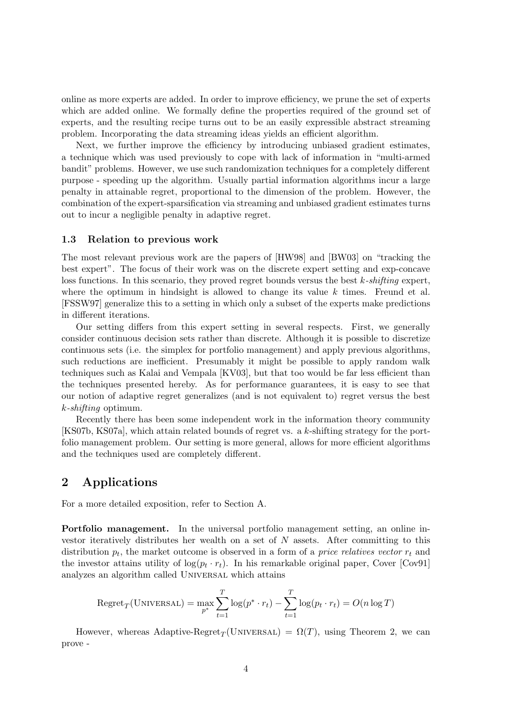online as more experts are added. In order to improve efficiency, we prune the set of experts which are added online. We formally define the properties required of the ground set of experts, and the resulting recipe turns out to be an easily expressible abstract streaming problem. Incorporating the data streaming ideas yields an efficient algorithm.

Next, we further improve the efficiency by introducing unbiased gradient estimates, a technique which was used previously to cope with lack of information in "multi-armed bandit" problems. However, we use such randomization techniques for a completely different purpose - speeding up the algorithm. Usually partial information algorithms incur a large penalty in attainable regret, proportional to the dimension of the problem. However, the combination of the expert-sparsification via streaming and unbiased gradient estimates turns out to incur a negligible penalty in adaptive regret.

#### 1.3 Relation to previous work

The most relevant previous work are the papers of [HW98] and [BW03] on "tracking the best expert". The focus of their work was on the discrete expert setting and exp-concave loss functions. In this scenario, they proved regret bounds versus the best  $k$ -shifting expert, where the optimum in hindsight is allowed to change its value  $k$  times. Freund et al. [FSSW97] generalize this to a setting in which only a subset of the experts make predictions in different iterations.

Our setting differs from this expert setting in several respects. First, we generally consider continuous decision sets rather than discrete. Although it is possible to discretize continuous sets (i.e. the simplex for portfolio management) and apply previous algorithms, such reductions are inefficient. Presumably it might be possible to apply random walk techniques such as Kalai and Vempala [KV03], but that too would be far less efficient than the techniques presented hereby. As for performance guarantees, it is easy to see that our notion of adaptive regret generalizes (and is not equivalent to) regret versus the best k-shifting optimum.

Recently there has been some independent work in the information theory community [KS07b, KS07a], which attain related bounds of regret vs. a k-shifting strategy for the portfolio management problem. Our setting is more general, allows for more efficient algorithms and the techniques used are completely different.

# 2 Applications

For a more detailed exposition, refer to Section A.

Portfolio management. In the universal portfolio management setting, an online investor iteratively distributes her wealth on a set of  $N$  assets. After committing to this distribution  $p_t$ , the market outcome is observed in a form of a *price relatives vector*  $r_t$  and the investor attains utility of  $log(p_t \cdot r_t)$ . In his remarkable original paper, Cover [Cov91] analyzes an algorithm called Universal which attains

$$
Regret_T(\text{UNIVERSAL}) = \max_{p^*} \sum_{t=1}^T \log(p^* \cdot r_t) - \sum_{t=1}^T \log(p_t \cdot r_t) = O(n \log T)
$$

However, whereas Adaptive-Regret<sub>T</sub>(UNIVERSAL) =  $\Omega(T)$ , using Theorem 2, we can prove -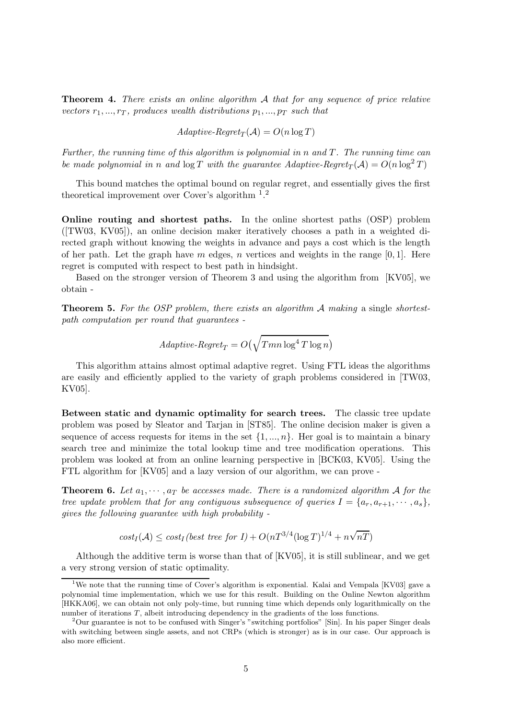**Theorem 4.** There exists an online algorithm A that for any sequence of price relative vectors  $r_1, ..., r_T$ , produces wealth distributions  $p_1, ..., p_T$  such that

 $Adaptive\text{-}Regret_T(\mathcal{A}) = O(n \log T)$ 

Further, the running time of this algorithm is polynomial in  $n$  and  $T$ . The running time can be made polynomial in n and  $\log T$  with the guarantee Adaptive-Regret<sub>T</sub>(A) =  $O(n \log^2 T)$ 

This bound matches the optimal bound on regular regret, and essentially gives the first theoretical improvement over Cover's algorithm <sup>1</sup>.<sup>2</sup>

Online routing and shortest paths. In the online shortest paths (OSP) problem ([TW03, KV05]), an online decision maker iteratively chooses a path in a weighted directed graph without knowing the weights in advance and pays a cost which is the length of her path. Let the graph have m edges, n vertices and weights in the range  $[0, 1]$ . Here regret is computed with respect to best path in hindsight.

Based on the stronger version of Theorem 3 and using the algorithm from [KV05], we obtain -

**Theorem 5.** For the OSP problem, there exists an algorithm  $\mathcal{A}$  making a single shortestpath computation per round that guarantees -

$$
Adaptive \text{-}Regret_T = O\big(\sqrt{T m n \log^4 T \log n}\big)
$$

This algorithm attains almost optimal adaptive regret. Using FTL ideas the algorithms are easily and efficiently applied to the variety of graph problems considered in [TW03, KV05].

Between static and dynamic optimality for search trees. The classic tree update problem was posed by Sleator and Tarjan in [ST85]. The online decision maker is given a sequence of access requests for items in the set  $\{1, ..., n\}$ . Her goal is to maintain a binary search tree and minimize the total lookup time and tree modification operations. This problem was looked at from an online learning perspective in [BCK03, KV05]. Using the FTL algorithm for [KV05] and a lazy version of our algorithm, we can prove -

**Theorem 6.** Let  $a_1, \dots, a_T$  be accesses made. There is a randomized algorithm A for the tree update problem that for any contiguous subsequence of queries  $I = \{a_r, a_{r+1}, \dots, a_s\}$ , gives the following guarantee with high probability -

 $cost_I(\mathcal{A}) \leq cost_I (best\ tree\ for\ I) + O(nT^{3/4}(\log T)^{1/4} + n\sqrt{nT})$ 

Although the additive term is worse than that of [KV05], it is still sublinear, and we get a very strong version of static optimality.

<sup>&</sup>lt;sup>1</sup>We note that the running time of Cover's algorithm is exponential. Kalai and Vempala [KV03] gave a polynomial time implementation, which we use for this result. Building on the Online Newton algorithm [HKKA06], we can obtain not only poly-time, but running time which depends only logarithmically on the number of iterations T, albeit introducing dependency in the gradients of the loss functions.

<sup>&</sup>lt;sup>2</sup>Our guarantee is not to be confused with Singer's "switching portfolios" [Sin]. In his paper Singer deals with switching between single assets, and not CRPs (which is stronger) as is in our case. Our approach is also more efficient.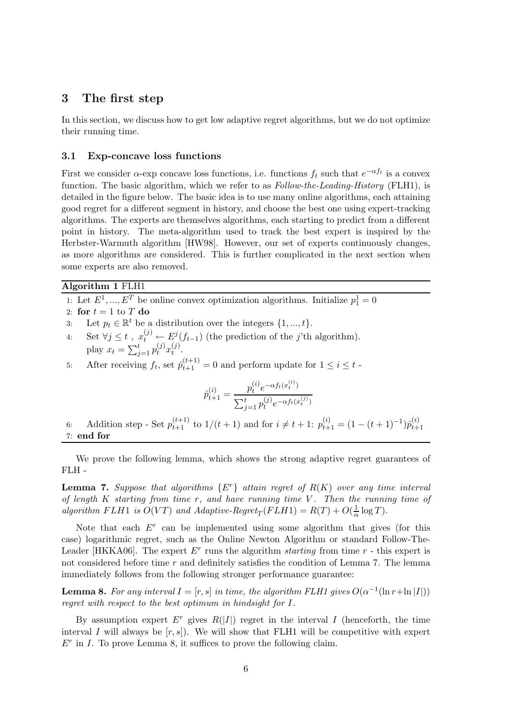### 3 The first step

In this section, we discuss how to get low adaptive regret algorithms, but we do not optimize their running time.

#### 3.1 Exp-concave loss functions

First we consider  $\alpha$ -exp concave loss functions, i.e. functions  $f_t$  such that  $e^{-\alpha f_t}$  is a convex function. The basic algorithm, which we refer to as *Follow-the-Leading-History* (FLH1), is detailed in the figure below. The basic idea is to use many online algorithms, each attaining good regret for a different segment in history, and choose the best one using expert-tracking algorithms. The experts are themselves algorithms, each starting to predict from a different point in history. The meta-algorithm used to track the best expert is inspired by the Herbster-Warmuth algorithm [HW98]. However, our set of experts continuously changes, as more algorithms are considered. This is further complicated in the next section when some experts are also removed.

### Algorithm 1 FLH1

- 1: Let  $E^1, ..., E^T$  be online convex optimization algorithms. Initialize  $p_1^1 = 0$
- 2: for  $t = 1$  to T do
- 3: Let  $p_t \in \mathbb{R}^t$  be a distribution over the integers  $\{1, ..., t\}$ .
- 4: Set  $\forall j \leq t$ ,  $x_t^{(j)} \leftarrow E^j(f_{t-1})$  (the prediction of the j'th algorithm). play  $x_t = \sum_{j=1}^t p_t^{(j)} x_t^{(j)}$  $t^{(J)}$ .

5: After receiving  $f_t$ , set  $\hat{p}_{t+1}^{(t+1)} = 0$  and perform update for  $1 \leq i \leq t$ .

$$
\hat{p}_{t+1}^{(i)} = \frac{p_t^{(i)} e^{-\alpha f_t(x_t^{(i)})}}{\sum_{j=1}^t p_t^{(j)} e^{-\alpha f_t(x_t^{(j)})}}
$$

6: Addition step - Set  $p_{t+1}^{(t+1)}$  to  $1/(t+1)$  and for  $i \neq t+1$ :  $p_{t+1}^{(i)} = (1-(t+1)^{-1})\hat{p}_{t+1}^{(i)}$  $_{t+1}$ 7: end for

We prove the following lemma, which shows the strong adaptive regret guarantees of FLH -

**Lemma 7.** Suppose that algorithms  $\{E^r\}$  attain regret of  $R(K)$  over any time interval of length  $K$  starting from time  $r$ , and have running time  $V$ . Then the running time of algorithm FLH1 is  $O(VT)$  and Adaptive-Regret<sub>T</sub>(FLH1) =  $R(T) + O(\frac{1}{\alpha})$  $\frac{1}{\alpha} \log T$ ).

Note that each  $E<sup>r</sup>$  can be implemented using some algorithm that gives (for this case) logarithmic regret, such as the Online Newton Algorithm or standard Follow-The-Leader [HKKA06]. The expert  $E^r$  runs the algorithm *starting* from time  $r$  - this expert is not considered before time r and definitely satisfies the condition of Lemma 7. The lemma immediately follows from the following stronger performance guarantee:

**Lemma 8.** For any interval  $I = [r, s]$  in time, the algorithm FLH1 gives  $O(\alpha^{-1}(\ln r + \ln |I|))$ regret with respect to the best optimum in hindsight for I.

By assumption expert  $E^r$  gives  $R(|I|)$  regret in the interval I (henceforth, the time interval I will always be  $[r, s]$ . We will show that FLH1 will be competitive with expert  $E<sup>r</sup>$  in I. To prove Lemma 8, it suffices to prove the following claim.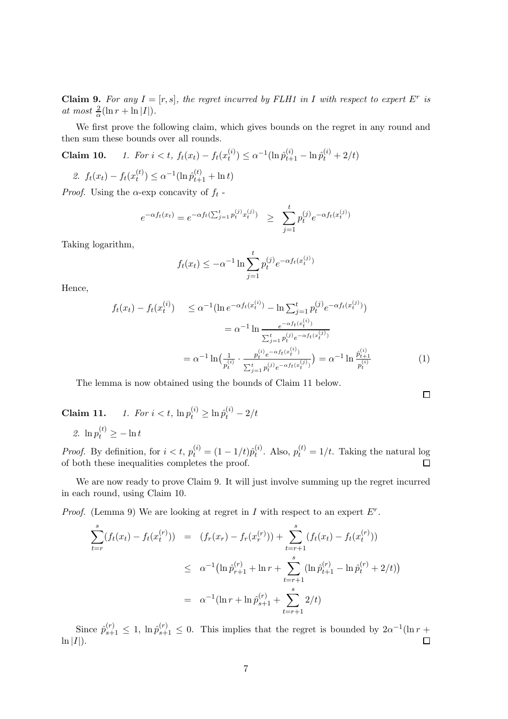**Claim 9.** For any  $I = [r, s]$ , the regret incurred by FLH1 in I with respect to expert  $E^r$  is at most  $\frac{2}{\alpha}(\ln r + \ln |I|)$ .

We first prove the following claim, which gives bounds on the regret in any round and then sum these bounds over all rounds.

**Claim 10.** 1. For  $i < t$ ,  $f_t(x_t) - f_t(x_t^{(i)})$  $t_i^{(i)}$   $\leq \alpha^{-1} (\ln \hat{p}_{t+1}^{(i)} - \ln \hat{p}_t^{(i)} + 2/t)$ 

2. 
$$
f_t(x_t) - f_t(x_t^{(t)}) \leq \alpha^{-1}(\ln \hat{p}_{t+1}^{(t)} + \ln t)
$$

*Proof.* Using the  $\alpha$ -exp concavity of  $f_t$ -

$$
e^{-\alpha f_t(x_t)} = e^{-\alpha f_t(\sum_{j=1}^t p_t^{(j)} x_t^{(j)})} \ge \sum_{j=1}^t p_t^{(j)} e^{-\alpha f_t(x_t^{(j)})}
$$

Taking logarithm,

$$
f_t(x_t) \le -\alpha^{-1} \ln \sum_{j=1}^t p_t^{(j)} e^{-\alpha f_t(x_t^{(j)})}
$$

Hence,

$$
f_t(x_t) - f_t(x_t^{(i)}) \le \alpha^{-1} (\ln e^{-\alpha f_t(x_t^{(i)})} - \ln \sum_{j=1}^t p_t^{(j)} e^{-\alpha f_t(x_t^{(j)})})
$$
  

$$
= \alpha^{-1} \ln \frac{e^{-\alpha f_t(x_t^{(i)})}}{\sum_{j=1}^t p_t^{(j)} e^{-\alpha f_t(x_t^{(j)})}}
$$
  

$$
= \alpha^{-1} \ln \left(\frac{1}{p_t^{(i)}} \cdot \frac{p_t^{(i)} e^{-\alpha f_t(x_t^{(i)})}}{\sum_{j=1}^t p_t^{(j)} e^{-\alpha f_t(x_t^{(j)})}}\right) = \alpha^{-1} \ln \frac{\hat{p}_{t+1}^{(i)}}{p_t^{(i)}}
$$
(1)

 $\Box$ 

The lemma is now obtained using the bounds of Claim 11 below.

**Claim 11.** *1. For*  $i < t$ ,  $\ln p_t^{(i)} \ge \ln \hat{p}_t^{(i)} - 2/t$ 

2.  $\ln p_t^{(t)} \geq -\ln t$ 

*Proof.* By definition, for  $i < t$ ,  $p_t^{(i)} = (1 - 1/t)\hat{p}_t^{(i)}$  $t_t^{(i)}$ . Also,  $p_t^{(t)} = 1/t$ . Taking the natural log of both these inequalities completes the proof.

We are now ready to prove Claim 9. It will just involve summing up the regret incurred in each round, using Claim 10.

*Proof.* (Lemma 9) We are looking at regret in  $I$  with respect to an expert  $E^r$ .

$$
\sum_{t=r}^{s} (f_t(x_t) - f_t(x_t^{(r)})) = (f_r(x_r) - f_r(x_r^{(r)})) + \sum_{t=r+1}^{s} (f_t(x_t) - f_t(x_t^{(r)}))
$$
\n
$$
\leq \alpha^{-1} (\ln \hat{p}_{r+1}^{(r)} + \ln r + \sum_{t=r+1}^{s} (\ln \hat{p}_{t+1}^{(r)} - \ln \hat{p}_t^{(r)} + 2/t))
$$
\n
$$
= \alpha^{-1} (\ln r + \ln \hat{p}_{s+1}^{(r)} + \sum_{t=r+1}^{s} 2/t)
$$

Since  $\hat{p}_{s+1}^{(r)} \leq 1$ ,  $\ln \hat{p}_{s+1}^{(r)} \leq 0$ . This implies that the regret is bounded by  $2\alpha^{-1}(\ln r +$  $\ln |I|$ ).  $\Box$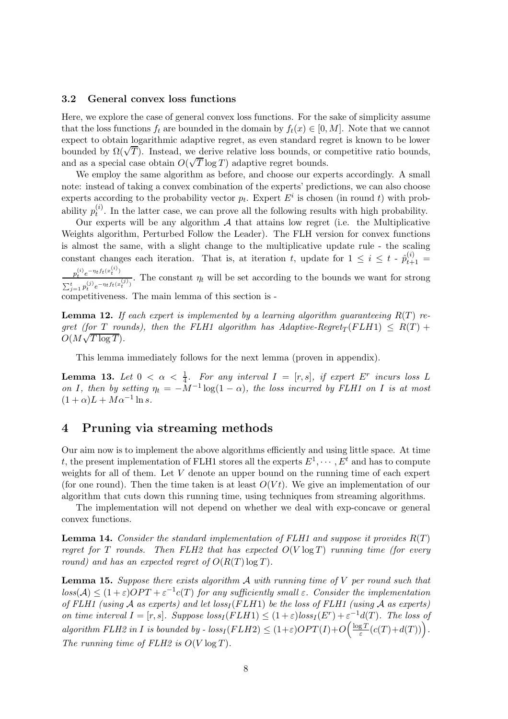#### 3.2 General convex loss functions

Here, we explore the case of general convex loss functions. For the sake of simplicity assume that the loss functions  $f_t$  are bounded in the domain by  $f_t(x) \in [0, M]$ . Note that we cannot expect to obtain logarithmic adaptive regret, as even standard regret is known to be lower bounded by  $\Omega(\sqrt{T})$ . Instead, we derive relative loss bounds, or competitive ratio bounds, and as a special case obtain  $O(\sqrt{T} \log T)$  adaptive regret bounds.

We employ the same algorithm as before, and choose our experts accordingly. A small note: instead of taking a convex combination of the experts' predictions, we can also choose experts according to the probability vector  $p_t$ . Expert  $E^i$  is chosen (in round t) with probability  $p_t^{(i)}$  $t_t^{(t)}$ . In the latter case, we can prove all the following results with high probability.

Our experts will be any algorithm  $A$  that attains low regret (i.e. the Multiplicative Weights algorithm, Perturbed Follow the Leader). The FLH version for convex functions is almost the same, with a slight change to the multiplicative update rule - the scaling constant changes each iteration. That is, at iteration t, update for  $1 \leq i \leq t - \hat{p}_{t+1}^{(i)} =$ 

 $p_t^{(i)} e^{-\eta_t f_t(x_t^{(i)})}$  $\frac{p_t}{\sum_{j=1}^t p_t^{(j)} e^{-\eta_t f_t(x_t^{(j)})}}$ . The constant  $\eta_t$  will be set according to the bounds we want for strong competitiveness. The main lemma of this section is -

**Lemma 12.** If each expert is implemented by a learning algorithm quaranteeing  $R(T)$  regret (for T rounds), then the FLH1 algorithm has Adaptive-Regret<sub>T</sub>(FLH1)  $\leq R(T) +$  $O(M\sqrt{T \log T}).$ 

This lemma immediately follows for the next lemma (proven in appendix).

**Lemma 13.** Let  $0 < \alpha < \frac{1}{4}$ . For any interval  $I = [r, s]$ , if expert  $E^r$  incurs loss L on I, then by setting  $\eta_t = -M^{-1} \log(1-\alpha)$ , the loss incurred by FLH1 on I is at most  $(1+\alpha)L + M\alpha^{-1}\ln s.$ 

# 4 Pruning via streaming methods

Our aim now is to implement the above algorithms efficiently and using little space. At time t, the present implementation of FLH1 stores all the experts  $E^1, \dots, E^t$  and has to compute weights for all of them. Let V denote an upper bound on the running time of each expert (for one round). Then the time taken is at least  $O(Vt)$ . We give an implementation of our algorithm that cuts down this running time, using techniques from streaming algorithms.

The implementation will not depend on whether we deal with exp-concave or general convex functions.

**Lemma 14.** Consider the standard implementation of FLH1 and suppose it provides  $R(T)$ regret for T rounds. Then FLH2 that has expected  $O(V \log T)$  running time (for every round) and has an expected regret of  $O(R(T) \log T)$ .

**Lemma 15.** Suppose there exists algorithm  $\mathcal A$  with running time of  $V$  per round such that  $loss(\mathcal{A}) \leq (1+\varepsilon) OPT + \varepsilon^{-1} c(T)$  for any sufficiently small  $\varepsilon$ . Consider the implementation of FLH1 (using A as experts) and let  $loss_I (FLH1)$  be the loss of FLH1 (using A as experts) on time interval  $I = [r, s]$ . Suppose  $loss_I(FLH1) \leq (1+\varepsilon)loss_I(E^r) + \varepsilon^{-1}d(T)$ . The loss of algorithm FLH2 in I is bounded by -  $loss_I(FLH2) \leq (1+\varepsilon)OPT(I) + O\left(\frac{\log T}{\varepsilon}\right)$  $\frac{gT}{\varepsilon}(c(T)+d(T))\Big).$ The running time of  $FLH2$  is  $O(V \log T)$ .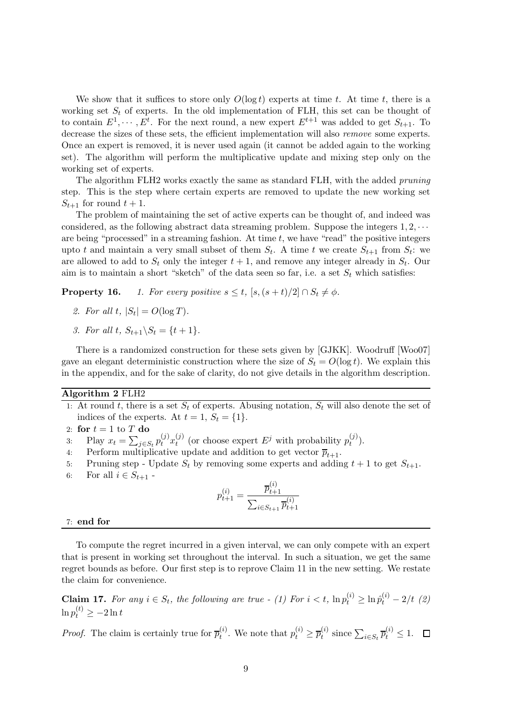We show that it suffices to store only  $O(\log t)$  experts at time t. At time t, there is a working set  $S_t$  of experts. In the old implementation of FLH, this set can be thought of to contain  $E^1, \dots, E^t$ . For the next round, a new expert  $E^{t+1}$  was added to get  $S_{t+1}$ . To decrease the sizes of these sets, the efficient implementation will also *remove* some experts. Once an expert is removed, it is never used again (it cannot be added again to the working set). The algorithm will perform the multiplicative update and mixing step only on the working set of experts.

The algorithm FLH2 works exactly the same as standard FLH, with the added pruning step. This is the step where certain experts are removed to update the new working set  $S_{t+1}$  for round  $t+1$ .

The problem of maintaining the set of active experts can be thought of, and indeed was considered, as the following abstract data streaming problem. Suppose the integers  $1, 2, \cdots$ are being "processed" in a streaming fashion. At time  $t$ , we have "read" the positive integers upto t and maintain a very small subset of them  $S_t$ . A time t we create  $S_{t+1}$  from  $S_t$ : we are allowed to add to  $S_t$  only the integer  $t + 1$ , and remove any integer already in  $S_t$ . Our aim is to maintain a short "sketch" of the data seen so far, i.e. a set  $S_t$  which satisfies:

**Property 16.** 1. For every positive  $s \leq t$ ,  $[s, (s+t)/2] \cap S_t \neq \emptyset$ .

- 2. For all t,  $|S_t| = O(\log T)$ .
- 3. For all t,  $S_{t+1} \backslash S_t = \{t+1\}.$

There is a randomized construction for these sets given by [GJKK]. Woodruff [Woo07] gave an elegant deterministic construction where the size of  $S_t = O(\log t)$ . We explain this in the appendix, and for the sake of clarity, do not give details in the algorithm description.

#### Algorithm 2 FLH2

- 1: At round t, there is a set  $S_t$  of experts. Abusing notation,  $S_t$  will also denote the set of indices of the experts. At  $t = 1$ ,  $S_t = \{1\}$ .
- 2: for  $t = 1$  to  $T$  do
- 3: Play  $x_t = \sum_{j \in S_t} p_t^{(j)} x_t^{(j)}$  $t_t^{(j)}$  (or choose expert  $E^j$  with probability  $p_t^{(j)}$  $\binom{U}{t}$ .
- 4: Perform multiplicative update and addition to get vector  $\overline{p}_{t+1}$ .
- 5: Pruning step Update  $S_t$  by removing some experts and adding  $t + 1$  to get  $S_{t+1}$ .
- 6: For all  $i \in S_{t+1}$  -

$$
p_{t+1}^{(i)} = \frac{\overline{p}_{t+1}^{(i)}}{\sum_{i \in S_{t+1}} \overline{p}_{t+1}^{(i)}}
$$

#### 7: end for

To compute the regret incurred in a given interval, we can only compete with an expert that is present in working set throughout the interval. In such a situation, we get the same regret bounds as before. Our first step is to reprove Claim 11 in the new setting. We restate the claim for convenience.

**Claim 17.** For any  $i \in S_t$ , the following are true - (1) For  $i < t$ ,  $\ln p_t^{(i)} \ge \ln \hat{p}_t^{(i)} - 2/t$  (2)  $\ln p_t^{(t)} \geq -2 \ln t$ 

*Proof.* The claim is certainly true for  $\overline{p}_t^{(i)}$  $t_i^{(i)}$ . We note that  $p_t^{(i)} \geq \overline{p}_t^{(i)}$  $t_i^{(i)}$  since  $\sum_{i \in S_t} \overline{p}_t^{(i)} \leq 1$ .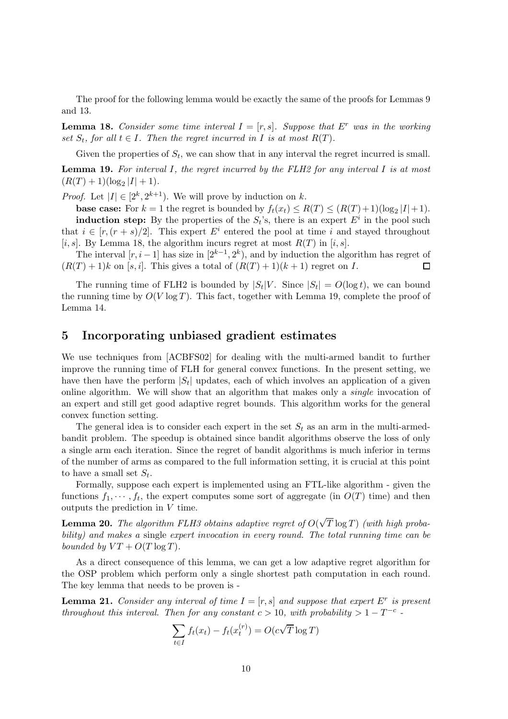The proof for the following lemma would be exactly the same of the proofs for Lemmas 9 and 13.

**Lemma 18.** Consider some time interval  $I = [r, s]$ . Suppose that E<sup>r</sup> was in the working set  $S_t$ , for all  $t \in I$ . Then the regret incurred in I is at most  $R(T)$ .

Given the properties of  $S_t$ , we can show that in any interval the regret incurred is small.

**Lemma 19.** For interval I, the regret incurred by the FLH2 for any interval I is at most  $(R(T) + 1)(\log_2 |I| + 1).$ 

*Proof.* Let  $|I| \in [2^k, 2^{k+1})$ . We will prove by induction on k.

**base case:** For  $k = 1$  the regret is bounded by  $f_t(x_t) \le R(T) \le (R(T) + 1)(\log_2 |I| + 1)$ . **induction step:** By the properties of the  $S_t$ 's, there is an expert  $E^i$  in the pool such that  $i \in [r, (r + s)/2]$ . This expert  $E^i$  entered the pool at time i and stayed throughout [i, s]. By Lemma 18, the algorithm incurs regret at most  $R(T)$  in [i, s].

The interval  $[r, i-1]$  has size in  $[2^{k-1}, 2^k)$ , and by induction the algorithm has regret of  $(R(T) + 1)k$  on [s, i]. This gives a total of  $(R(T) + 1)(k + 1)$  regret on I.  $\Box$ 

The running time of FLH2 is bounded by  $|S_t|V$ . Since  $|S_t| = O(\log t)$ , we can bound the running time by  $O(V \log T)$ . This fact, together with Lemma 19, complete the proof of Lemma 14.

### 5 Incorporating unbiased gradient estimates

We use techniques from [ACBFS02] for dealing with the multi-armed bandit to further improve the running time of FLH for general convex functions. In the present setting, we have then have the perform  $|S_t|$  updates, each of which involves an application of a given online algorithm. We will show that an algorithm that makes only a single invocation of an expert and still get good adaptive regret bounds. This algorithm works for the general convex function setting.

The general idea is to consider each expert in the set  $S_t$  as an arm in the multi-armedbandit problem. The speedup is obtained since bandit algorithms observe the loss of only a single arm each iteration. Since the regret of bandit algorithms is much inferior in terms of the number of arms as compared to the full information setting, it is crucial at this point to have a small set  $S_t$ .

Formally, suppose each expert is implemented using an FTL-like algorithm - given the functions  $f_1, \dots, f_t$ , the expert computes some sort of aggregate (in  $O(T)$  time) and then outputs the prediction in V time.

**Lemma 20.** The algorithm FLH3 obtains adaptive regret of  $O(\sqrt{T}\log T)$  (with high probability) and makes a single expert invocation in every round. The total running time can be bounded by  $VT + O(T \log T)$ .

As a direct consequence of this lemma, we can get a low adaptive regret algorithm for the OSP problem which perform only a single shortest path computation in each round. The key lemma that needs to be proven is -

**Lemma 21.** Consider any interval of time  $I = [r, s]$  and suppose that expert  $E^r$  is present throughout this interval. Then for any constant  $c > 10$ , with probability  $> 1 - T^{-c}$ .

$$
\sum_{t \in I} f_t(x_t) - f_t(x_t^{(r)}) = O(c\sqrt{T} \log T)
$$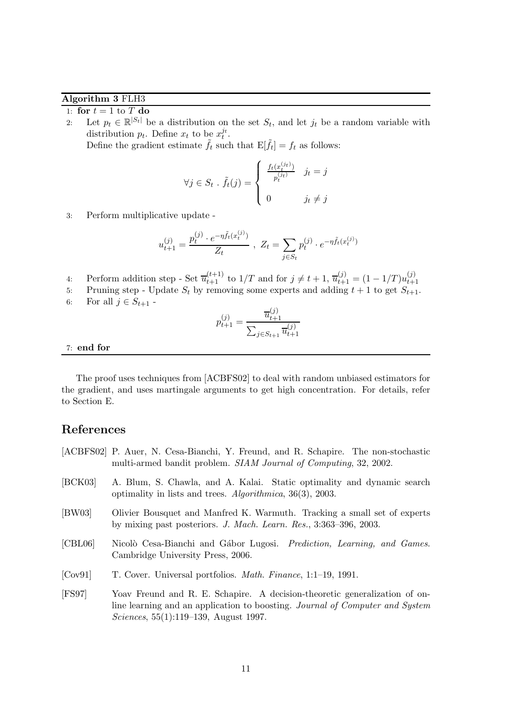### Algorithm 3 FLH3

1: for  $t = 1$  to  $T$  do

2: Let  $p_t \in \mathbb{R}^{|S_t|}$  be a distribution on the set  $S_t$ , and let  $j_t$  be a random variable with distribution  $p_t$ . Define  $x_t$  to be  $x_t^{j_t}$ .

Define the gradient estimate  $\tilde{f}_t$  such that  $E[\tilde{f}_t] = f_t$  as follows:

$$
\forall j \in S_t \; . \; \tilde{f}_t(j) = \begin{cases} \frac{f_t(x_t^{(jt)})}{p_t^{(jt)}} & j_t = j \\ 0 & j_t \neq j \end{cases}
$$

3: Perform multiplicative update -

$$
u_{t+1}^{(j)} = \frac{p_t^{(j)} \cdot e^{-\eta \tilde{f}_t(x_t^{(j)})}}{Z_t}, \ Z_t = \sum_{j \in S_t} p_t^{(j)} \cdot e^{-\eta \tilde{f}_t(x_t^{(j)})}
$$

- 4: Perform addition step Set  $\overline{u}_{t+1}^{(t+1)}$  to  $1/T$  and for  $j \neq t+1$ ,  $\overline{u}_{t+1}^{(j)} = (1 1/T)u_{t+1}^{(j)}$  $t+1$
- 5: Pruning step Update  $S_t$  by removing some experts and adding  $t + 1$  to get  $S_{t+1}$ .
- 6: For all  $j \in S_{t+1}$  -

$$
p_{t+1}^{(j)} = \frac{\overline{u}_{t+1}^{(j)}}{\sum_{j \in S_{t+1}} \overline{u}_{t+1}^{(j)}}
$$

#### 7: end for

The proof uses techniques from [ACBFS02] to deal with random unbiased estimators for the gradient, and uses martingale arguments to get high concentration. For details, refer to Section E.

### References

- [ACBFS02] P. Auer, N. Cesa-Bianchi, Y. Freund, and R. Schapire. The non-stochastic multi-armed bandit problem. SIAM Journal of Computing, 32, 2002.
- [BCK03] A. Blum, S. Chawla, and A. Kalai. Static optimality and dynamic search optimality in lists and trees. Algorithmica, 36(3), 2003.
- [BW03] Olivier Bousquet and Manfred K. Warmuth. Tracking a small set of experts by mixing past posteriors. J. Mach. Learn. Res., 3:363–396, 2003.
- [CBL06] Nicolò Cesa-Bianchi and Gábor Lugosi. *Prediction, Learning, and Games.* Cambridge University Press, 2006.
- [Cov91] T. Cover. Universal portfolios. Math. Finance, 1:1–19, 1991.
- [FS97] Yoav Freund and R. E. Schapire. A decision-theoretic generalization of online learning and an application to boosting. Journal of Computer and System Sciences, 55(1):119–139, August 1997.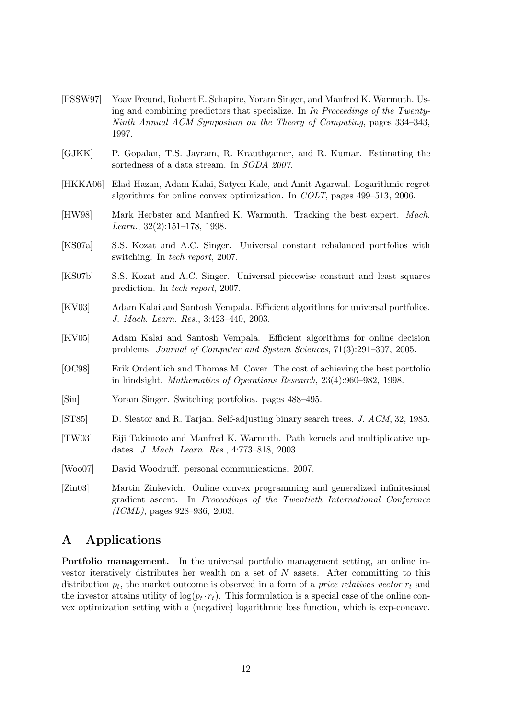- [FSSW97] Yoav Freund, Robert E. Schapire, Yoram Singer, and Manfred K. Warmuth. Using and combining predictors that specialize. In In Proceedings of the Twenty-Ninth Annual ACM Symposium on the Theory of Computing, pages 334–343, 1997.
- [GJKK] P. Gopalan, T.S. Jayram, R. Krauthgamer, and R. Kumar. Estimating the sortedness of a data stream. In SODA 2007.
- [HKKA06] Elad Hazan, Adam Kalai, Satyen Kale, and Amit Agarwal. Logarithmic regret algorithms for online convex optimization. In COLT, pages 499–513, 2006.
- [HW98] Mark Herbster and Manfred K. Warmuth. Tracking the best expert. Mach. Learn., 32(2):151–178, 1998.
- [KS07a] S.S. Kozat and A.C. Singer. Universal constant rebalanced portfolios with switching. In tech report, 2007.
- [KS07b] S.S. Kozat and A.C. Singer. Universal piecewise constant and least squares prediction. In tech report, 2007.
- [KV03] Adam Kalai and Santosh Vempala. Efficient algorithms for universal portfolios. J. Mach. Learn. Res., 3:423–440, 2003.
- [KV05] Adam Kalai and Santosh Vempala. Efficient algorithms for online decision problems. Journal of Computer and System Sciences, 71(3):291–307, 2005.
- [OC98] Erik Ordentlich and Thomas M. Cover. The cost of achieving the best portfolio in hindsight. Mathematics of Operations Research, 23(4):960–982, 1998.
- [Sin] Yoram Singer. Switching portfolios. pages 488–495.
- [ST85] D. Sleator and R. Tarjan. Self-adjusting binary search trees. J. ACM, 32, 1985.
- [TW03] Eiji Takimoto and Manfred K. Warmuth. Path kernels and multiplicative updates. J. Mach. Learn. Res., 4:773–818, 2003.
- [Woo07] David Woodruff. personal communications. 2007.

[Zin03] Martin Zinkevich. Online convex programming and generalized infinitesimal gradient ascent. In Proceedings of the Twentieth International Conference (ICML), pages 928–936, 2003.

# A Applications

Portfolio management. In the universal portfolio management setting, an online investor iteratively distributes her wealth on a set of  $N$  assets. After committing to this distribution  $p_t$ , the market outcome is observed in a form of a *price relatives vector*  $r_t$  and the investor attains utility of  $log(p_t \cdot r_t)$ . This formulation is a special case of the online convex optimization setting with a (negative) logarithmic loss function, which is exp-concave.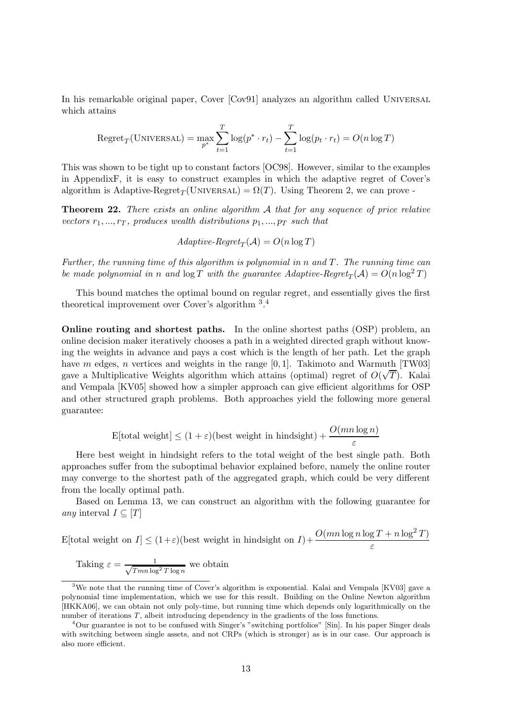In his remarkable original paper, Cover [Cov91] analyzes an algorithm called UNIVERSAL which attains

$$
Regret_T(\text{UNIVERSAL}) = \max_{p^*} \sum_{t=1}^T \log(p^* \cdot r_t) - \sum_{t=1}^T \log(p_t \cdot r_t) = O(n \log T)
$$

This was shown to be tight up to constant factors [OC98]. However, similar to the examples in AppendixF, it is easy to construct examples in which the adaptive regret of Cover's algorithm is Adaptive-Regret<sub>T</sub>(UNIVERSAL) =  $\Omega(T)$ . Using Theorem 2, we can prove -

**Theorem 22.** There exists an online algorithm  $A$  that for any sequence of price relative vectors  $r_1, ..., r_T$ , produces wealth distributions  $p_1, ..., p_T$  such that

$$
Adaptive\text{-}Regret_T(\mathcal{A}) = O(n \log T)
$$

Further, the running time of this algorithm is polynomial in n and T. The running time can be made polynomial in n and  $\log T$  with the guarantee Adaptive-Regret<sub>T</sub>(A) =  $O(n \log^2 T)$ 

This bound matches the optimal bound on regular regret, and essentially gives the first theoretical improvement over Cover's algorithm <sup>3</sup>.<sup>4</sup>

Online routing and shortest paths. In the online shortest paths (OSP) problem, an online decision maker iteratively chooses a path in a weighted directed graph without knowing the weights in advance and pays a cost which is the length of her path. Let the graph have m edges, n vertices and weights in the range  $[0, 1]$ . Takimoto and Warmuth [TW03] gave a Multiplicative Weights algorithm which attains (optimal) regret of  $O(\sqrt{T})$ . Kalai and Vempala [KV05] showed how a simpler approach can give efficient algorithms for OSP and other structured graph problems. Both approaches yield the following more general guarantee:

$$
E[\text{total weight}] \le (1 + \varepsilon)(\text{best weight in hindsight}) + \frac{O(mn \log n)}{\varepsilon}
$$

Here best weight in hindsight refers to the total weight of the best single path. Both approaches suffer from the suboptimal behavior explained before, namely the online router may converge to the shortest path of the aggregated graph, which could be very different from the locally optimal path.

Based on Lemma 13, we can construct an algorithm with the following guarantee for any interval  $I \subseteq [T]$ 

$$
E[\text{total weight on } I] \le (1+\varepsilon)(\text{best weight in hindsight on } I) + \frac{O(mn\log n\log T + n\log^2 T)}{\varepsilon}
$$

Taking 
$$
\varepsilon = \frac{1}{\sqrt{T m n \log^2 T \log n}}
$$
 we obtain

<sup>&</sup>lt;sup>3</sup>We note that the running time of Cover's algorithm is exponential. Kalai and Vempala [KV03] gave a polynomial time implementation, which we use for this result. Building on the Online Newton algorithm [HKKA06], we can obtain not only poly-time, but running time which depends only logarithmically on the number of iterations T, albeit introducing dependency in the gradients of the loss functions.

<sup>&</sup>lt;sup>4</sup>Our guarantee is not to be confused with Singer's "switching portfolios" [Sin]. In his paper Singer deals with switching between single assets, and not CRPs (which is stronger) as is in our case. Our approach is also more efficient.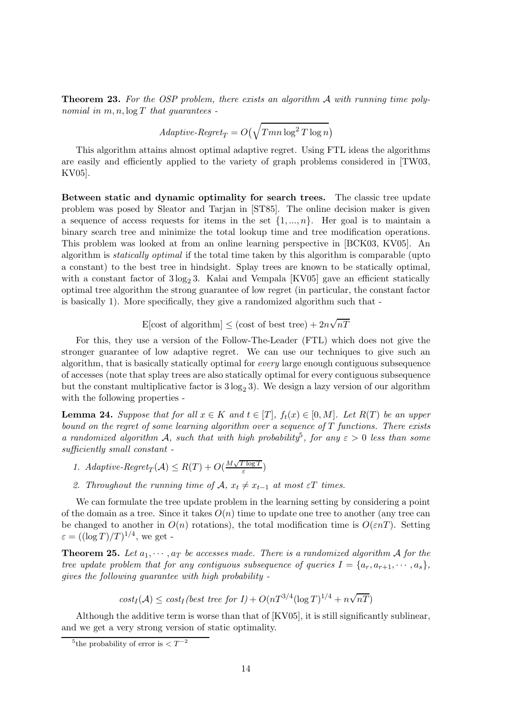Theorem 23. For the OSP problem, there exists an algorithm A with running time polynomial in  $m, n, \log T$  that quarantees -

$$
Adaptive \text{-}Regret_T = O\left(\sqrt{T m n \log^2 T \log n}\right)
$$

This algorithm attains almost optimal adaptive regret. Using FTL ideas the algorithms are easily and efficiently applied to the variety of graph problems considered in [TW03, KV05].

Between static and dynamic optimality for search trees. The classic tree update problem was posed by Sleator and Tarjan in [ST85]. The online decision maker is given a sequence of access requests for items in the set  $\{1, ..., n\}$ . Her goal is to maintain a binary search tree and minimize the total lookup time and tree modification operations. This problem was looked at from an online learning perspective in [BCK03, KV05]. An algorithm is statically optimal if the total time taken by this algorithm is comparable (upto a constant) to the best tree in hindsight. Splay trees are known to be statically optimal, with a constant factor of  $3 \log_2 3$ . Kalai and Vempala [KV05] gave an efficient statically optimal tree algorithm the strong guarantee of low regret (in particular, the constant factor is basically 1). More specifically, they give a randomized algorithm such that -

E[cost of algorithm]  $\leq$  (cost of best tree)  $+ 2n\sqrt{nT}$ 

For this, they use a version of the Follow-The-Leader (FTL) which does not give the stronger guarantee of low adaptive regret. We can use our techniques to give such an algorithm, that is basically statically optimal for every large enough contiguous subsequence of accesses (note that splay trees are also statically optimal for every contiguous subsequence but the constant multiplicative factor is  $3 \log_2 3$ . We design a lazy version of our algorithm with the following properties -

**Lemma 24.** Suppose that for all  $x \in K$  and  $t \in [T]$ ,  $f_t(x) \in [0, M]$ . Let  $R(T)$  be an upper bound on the regret of some learning algorithm over a sequence of  $T$  functions. There exists a randomized algorithm A, such that with high probability<sup>5</sup>, for any  $\varepsilon > 0$  less than some sufficiently small constant -

- 1. Adaptive-Regret<sub>T</sub>( $A$ )  $\leq R(T) + O(\frac{M\sqrt{T \log T}}{\varepsilon})$  $\frac{\log I}{\varepsilon}$ )
- 2. Throughout the running time of  $\mathcal{A}, x_t \neq x_{t-1}$  at most  $\varepsilon T$  times.

We can formulate the tree update problem in the learning setting by considering a point of the domain as a tree. Since it takes  $O(n)$  time to update one tree to another (any tree can be changed to another in  $O(n)$  rotations), the total modification time is  $O(\varepsilon nT)$ . Setting  $\varepsilon = ((\log T)/T)^{1/4}$ , we get -

**Theorem 25.** Let  $a_1, \dots, a_T$  be accesses made. There is a randomized algorithm A for the tree update problem that for any contiguous subsequence of queries  $I = \{a_r, a_{r+1}, \dots, a_s\}$ , gives the following guarantee with high probability -

$$
cost_I(\mathcal{A}) \leq cost_I (best\ tree\ for\ I) + O(nT^{3/4}(\log T)^{1/4} + n\sqrt{nT})
$$

Although the additive term is worse than that of [KV05], it is still significantly sublinear, and we get a very strong version of static optimality.

<sup>&</sup>lt;sup>5</sup>the probability of error is  $\lt T^{-2}$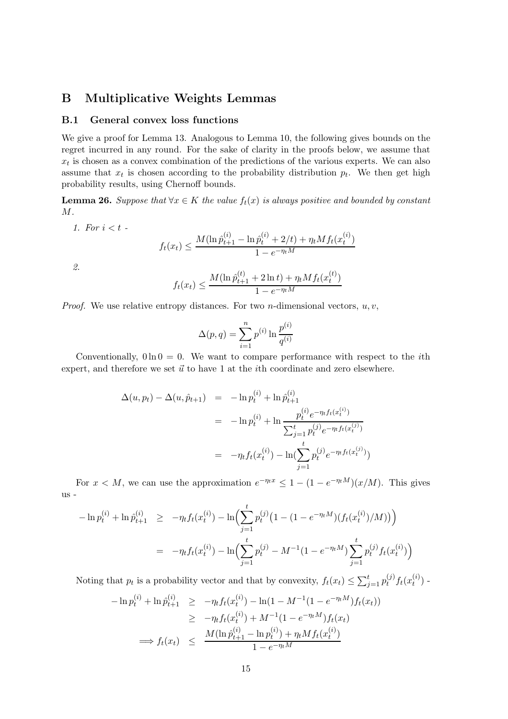# B Multiplicative Weights Lemmas

### B.1 General convex loss functions

We give a proof for Lemma 13. Analogous to Lemma 10, the following gives bounds on the regret incurred in any round. For the sake of clarity in the proofs below, we assume that  $x_t$  is chosen as a convex combination of the predictions of the various experts. We can also assume that  $x_t$  is chosen according to the probability distribution  $p_t$ . We then get high probability results, using Chernoff bounds.

**Lemma 26.** Suppose that  $\forall x \in K$  the value  $f_t(x)$  is always positive and bounded by constant M.

$$
f_t(x_t) \le \frac{M(\ln \hat{p}_{t+1}^{(i)} - \ln \hat{p}_t^{(i)} + 2/t) + \eta_t M f_t(x_t^{(i)})}{1 - e^{-\eta_t M}}
$$

2.

1. For  $i < t$  -

$$
f_t(x_t) \le \frac{M(\ln \hat{p}_{t+1}^{(t)} + 2 \ln t) + \eta_t M f_t(x_t^{(t)})}{1 - e^{-\eta_t M}}
$$

*Proof.* We use relative entropy distances. For two *n*-dimensional vectors,  $u, v$ ,

$$
\Delta(p, q) = \sum_{i=1}^{n} p^{(i)} \ln \frac{p^{(i)}}{q^{(i)}}
$$

Conventionally,  $0 \ln 0 = 0$ . We want to compare performance with respect to the *i*th expert, and therefore we set  $\vec{u}$  to have 1 at the *i*th coordinate and zero elsewhere.

$$
\Delta(u, p_t) - \Delta(u, \hat{p}_{t+1}) = -\ln p_t^{(i)} + \ln \hat{p}_{t+1}^{(i)}
$$
  

$$
= -\ln p_t^{(i)} + \ln \frac{p_t^{(i)} e^{-\eta_t f_t(x_t^{(i)})}}{\sum_{j=1}^t p_t^{(j)} e^{-\eta_t f_t(x_t^{(j)})}}
$$
  

$$
= -\eta_t f_t(x_t^{(i)}) - \ln(\sum_{j=1}^t p_t^{(j)} e^{-\eta_t f_t(x_t^{(j)})})
$$

For  $x < M$ , we can use the approximation  $e^{-\eta_t x} \leq 1 - (1 - e^{-\eta_t M})(x/M)$ . This gives us -

$$
-\ln p_t^{(i)} + \ln \hat{p}_{t+1}^{(i)} \ge -\eta_t f_t(x_t^{(i)}) - \ln \Bigl( \sum_{j=1}^t p_t^{(j)} \bigl( 1 - (1 - e^{-\eta_t M}) (f_t(x_t^{(i)}) / M) \bigr) \Bigr)
$$
  

$$
= -\eta_t f_t(x_t^{(i)}) - \ln \Bigl( \sum_{j=1}^t p_t^{(j)} - M^{-1} (1 - e^{-\eta_t M}) \sum_{j=1}^t p_t^{(j)} f_t(x_t^{(i)}) \Bigr)
$$

Noting that  $p_t$  is a probability vector and that by convexity,  $f_t(x_t) \le \sum_{j=1}^t p_t^{(j)}$  $_{t}^{(j)}f_{t}(x_{t}^{(i)}% )=\frac{1}{2\pi i}\sum_{i=1}^{t}(x_{t}^{(i)}+x_{t}^{(i)}),$  $\binom{t}{t}$  - $\binom{i}{i}$ 

$$
-\ln p_t^{(i)} + \ln \hat{p}_{t+1}^{(i)} \ge -\eta_t f_t(x_t^{(i)}) - \ln(1 - M^{-1}(1 - e^{-\eta_t M}) f_t(x_t))
$$
  
\n
$$
\ge -\eta_t f_t(x_t^{(i)}) + M^{-1}(1 - e^{-\eta_t M}) f_t(x_t)
$$
  
\n
$$
\implies f_t(x_t) \le \frac{M(\ln \hat{p}_{t+1}^{(i)} - \ln p_t^{(i)}) + \eta_t M f_t(x_t^{(i)})}{1 - e^{-\eta_t M}}
$$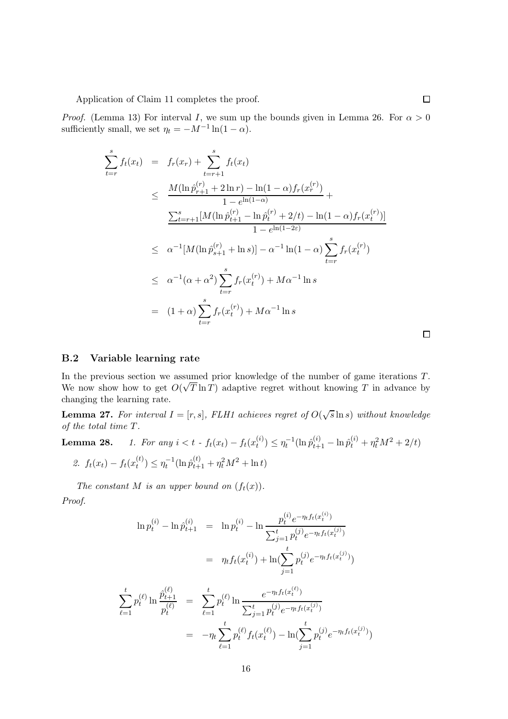Application of Claim 11 completes the proof.

*Proof.* (Lemma 13) For interval I, we sum up the bounds given in Lemma 26. For  $\alpha > 0$ sufficiently small, we set  $\eta_t = -M^{-1} \ln(1 - \alpha)$ .

$$
\sum_{t=r}^{s} f_t(x_t) = f_r(x_r) + \sum_{t=r+1}^{s} f_t(x_t)
$$
\n
$$
\leq \frac{M(\ln \hat{p}_{r+1}^{(r)} + 2 \ln r) - \ln(1-\alpha) f_r(x_r^{(r)})}{1 - e^{\ln(1-\alpha)}} + \frac{\sum_{t=r+1}^{s} [M(\ln \hat{p}_{t+1}^{(r)} - \ln \hat{p}_t^{(r)} + 2/t) - \ln(1-\alpha) f_r(x_t^{(r)})]}{1 - e^{\ln(1-2\varepsilon)}}
$$
\n
$$
\leq \alpha^{-1} [M(\ln \hat{p}_{s+1}^{(r)} + \ln s)] - \alpha^{-1} \ln(1-\alpha) \sum_{t=r}^{s} f_r(x_t^{(r)})
$$
\n
$$
\leq \alpha^{-1} (\alpha + \alpha^2) \sum_{t=r}^{s} f_r(x_t^{(r)}) + M\alpha^{-1} \ln s
$$
\n
$$
= (1 + \alpha) \sum_{t=r}^{s} f_r(x_t^{(r)}) + M\alpha^{-1} \ln s
$$

#### B.2 Variable learning rate

In the previous section we assumed prior knowledge of the number of game iterations T. We now show how to get  $O(\sqrt{T} \ln T)$  adaptive regret without knowing T in advance by changing the learning rate.

**Lemma 27.** For interval  $I = [r, s]$ , FLH1 achieves regret of  $O(\sqrt{s} \ln s)$  without knowledge of the total time T.

**Lemma 28.** 1. For any 
$$
i < t - f_t(x_t) - f_t(x_t^{(i)}) \le \eta_t^{-1} (\ln \hat{p}_{t+1}^{(i)} - \ln \hat{p}_t^{(i)} + \eta_t^2 M^2 + 2/t)
$$
  
2.  $f_t(x_t) - f_t(x_t^{(t)}) \le \eta_t^{-1} (\ln \hat{p}_{t+1}^{(t)} + \eta_t^2 M^2 + \ln t)$ 

The constant M is an upper bound on  $(f_t(x))$ .

Proof.

$$
\ln p_t^{(i)} - \ln \hat{p}_{t+1}^{(i)} = \ln p_t^{(i)} - \ln \frac{p_t^{(i)} e^{-\eta_t f_t(x_t^{(i)})}}{\sum_{j=1}^t p_t^{(j)} e^{-\eta_t f_t(x_t^{(j)})}}
$$
  
\n
$$
= \eta_t f_t(x_t^{(i)}) + \ln(\sum_{j=1}^t p_t^{(j)} e^{-\eta_t f_t(x_t^{(j)})})
$$
  
\n
$$
\sum_{\ell=1}^t p_t^{(\ell)} \ln \frac{\hat{p}_{t+1}^{(\ell)}}{p_t^{(\ell)}} = \sum_{\ell=1}^t p_t^{(\ell)} \ln \frac{e^{-\eta_t f_t(x_t^{(\ell)})}}{\sum_{j=1}^t p_t^{(j)} e^{-\eta_t f_t(x_t^{(j)})}}
$$
  
\n
$$
= -\eta_t \sum_{\ell=1}^t p_t^{(\ell)} f_t(x_t^{(\ell)}) - \ln(\sum_{j=1}^t p_t^{(j)} e^{-\eta_t f_t(x_t^{(j)})})
$$

 $\Box$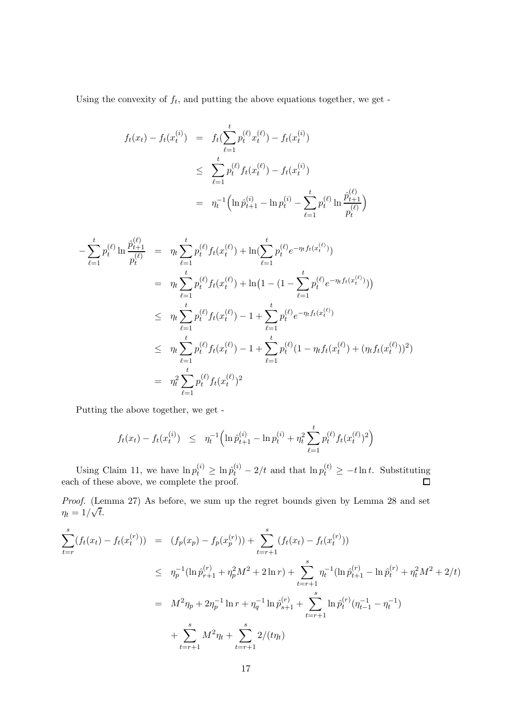Using the convexity of  $f_t$ , and putting the above equations together, we get -

$$
f_t(x_t) - f_t(x_t^{(i)}) = f_t(\sum_{\ell=1}^t p_t^{(\ell)} x_t^{(\ell)}) - f_t(x_t^{(i)})
$$
  
\n
$$
\leq \sum_{\ell=1}^t p_t^{(\ell)} f_t(x_t^{(\ell)}) - f_t(x_t^{(i)})
$$
  
\n
$$
= \eta_t^{-1} \Big( \ln \hat{p}_{t+1}^{(i)} - \ln p_t^{(i)} - \sum_{\ell=1}^t p_t^{(\ell)} \ln \frac{\hat{p}_{t+1}^{(\ell)}}{p_t^{(\ell)}} \Big)
$$

$$
-\sum_{\ell=1}^{t} p_{t}^{(\ell)} \ln \frac{\hat{p}_{t+1}^{(\ell)}}{p_{t}^{(\ell)}} = \eta_{t} \sum_{\ell=1}^{t} p_{t}^{(\ell)} f_{t}(x_{t}^{(\ell)}) + \ln(\sum_{\ell=1}^{t} p_{t}^{(\ell)} e^{-\eta_{t} f_{t}(x_{t}^{(\ell)})})
$$
  
\n
$$
= \eta_{t} \sum_{\ell=1}^{t} p_{t}^{(\ell)} f_{t}(x_{t}^{(\ell)}) + \ln(1 - (1 - \sum_{\ell=1}^{t} p_{t}^{(\ell)} e^{-\eta_{t} f_{t}(x_{t}^{(\ell)})}))
$$
  
\n
$$
\leq \eta_{t} \sum_{\ell=1}^{t} p_{t}^{(\ell)} f_{t}(x_{t}^{(\ell)}) - 1 + \sum_{\ell=1}^{t} p_{t}^{(\ell)} e^{-\eta_{t} f_{t}(x_{t}^{(\ell)})}
$$
  
\n
$$
\leq \eta_{t} \sum_{\ell=1}^{t} p_{t}^{(\ell)} f_{t}(x_{t}^{(\ell)}) - 1 + \sum_{\ell=1}^{t} p_{t}^{(\ell)} (1 - \eta_{t} f_{t}(x_{t}^{(\ell)}) + (\eta_{t} f_{t}(x_{t}^{(\ell)}))^2)
$$
  
\n
$$
= \eta_{t}^{2} \sum_{\ell=1}^{t} p_{t}^{(\ell)} f_{t}(x_{t}^{(\ell)})^2
$$

Putting the above together, we get -

$$
f_t(x_t) - f_t(x_t^{(i)}) \leq \eta_t^{-1} \Big( \ln \hat{p}_{t+1}^{(i)} - \ln p_t^{(i)} + \eta_t^2 \sum_{\ell=1}^t p_t^{(\ell)} f_t(x_t^{(\ell)})^2 \Big)
$$

Using Claim 11, we have  $\ln p_t^{(i)} \ge \ln \hat{p}_t^{(i)} - 2/t$  and that  $\ln p_t^{(t)} \ge -t \ln t$ . Substituting each of these above, we complete the proof.

Proof. (Lemma 27) As before, we sum up the regret bounds given by Lemma 28 and set  $\eta_t = 1/\sqrt{t}.$ 

$$
\sum_{t=r}^{s} (f_t(x_t) - f_t(x_t^{(r)})) = (f_p(x_p) - f_p(x_p^{(r)})) + \sum_{t=r+1}^{s} (f_t(x_t) - f_t(x_t^{(r)}))
$$
\n
$$
\leq \eta_p^{-1} (\ln \hat{p}_{r+1}^{(r)} + \eta_p^2 M^2 + 2 \ln r) + \sum_{t=r+1}^{s} \eta_t^{-1} (\ln \hat{p}_{t+1}^{(r)} - \ln \hat{p}_t^{(r)} + \eta_t^2 M^2 + 2/t)
$$
\n
$$
= M^2 \eta_p + 2\eta_p^{-1} \ln r + \eta_q^{-1} \ln \hat{p}_{s+1}^{(r)} + \sum_{t=r+1}^{s} \ln \hat{p}_t^{(r)} (\eta_{t-1}^{-1} - \eta_t^{-1})
$$
\n
$$
+ \sum_{t=r+1}^{s} M^2 \eta_t + \sum_{t=r+1}^{s} 2/(t\eta_t)
$$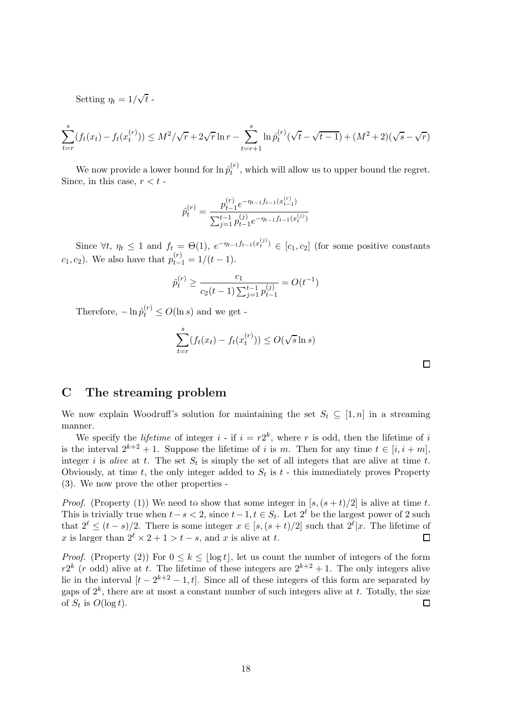Setting  $\eta_t = 1/\sqrt{t}$ .

$$
\sum_{t=r}^{s} (f_t(x_t) - f_t(x_t^{(r)})) \le M^2/\sqrt{r} + 2\sqrt{r} \ln r - \sum_{t=r+1}^{s} \ln \hat{p}_t^{(r)}(\sqrt{t} - \sqrt{t-1}) + (M^2 + 2)(\sqrt{s} - \sqrt{r})
$$

We now provide a lower bound for  $\ln \hat{p}_t^{(r)}$  $t^{(r)}$ , which will allow us to upper bound the regret. Since, in this case,  $r < t$  -

$$
\hat{p}_t^{(r)} = \frac{p_{t-1}^{(r)} e^{-\eta_{t-1} f_{t-1}(x_{t-1}^{(r)})}}{\sum_{j=1}^{t-1} p_{t-1}^{(j)} e^{-\eta_{t-1} f_{t-1}(x_t^{(j)})}}
$$

Since  $\forall t, \eta_t \leq 1$  and  $f_t = \Theta(1), e^{-\eta_{t-1} f_{t-1}(x_t^{(j)})} \in [c_1, c_2]$  (for some positive constants  $c_1, c_2$ ). We also have that  $p_{t-1}^{(r)} = 1/(t-1)$ .

$$
\hat{p}_t^{(r)} \ge \frac{c_1}{c_2(t-1)\sum_{j=1}^{t-1} p_{t-1}^{(j)}} = O(t^{-1})
$$

Therefore,  $-\ln \hat{p}_t^{(r)} \le O(\ln s)$  and we get -

$$
\sum_{t=r}^{s} (f_t(x_t) - f_t(x_t^{(r)})) \le O(\sqrt{s} \ln s)
$$

# C The streaming problem

We now explain Woodruff's solution for maintaining the set  $S_t \subseteq [1, n]$  in a streaming manner.

We specify the *lifetime* of integer  $i$  - if  $i = r2^k$ , where r is odd, then the lifetime of i is the interval  $2^{k+2} + 1$ . Suppose the lifetime of i is m. Then for any time  $t \in [i, i + m]$ , integer i is alive at t. The set  $S_t$  is simply the set of all integers that are alive at time t. Obviously, at time t, the only integer added to  $S_t$  is t - this immediately proves Property (3). We now prove the other properties -

*Proof.* (Property (1)) We need to show that some integer in  $[s,(s+t)/2]$  is alive at time t. This is trivially true when  $t-s < 2$ , since  $t-1$ ,  $t \in S_t$ . Let  $2^{\ell}$  be the largest power of 2 such that  $2^{\ell} \leq (t-s)/2$ . There is some integer  $x \in [s, (s+t)/2]$  such that  $2^{\ell} |x$ . The lifetime of x is larger than  $2^{\ell} \times 2 + 1 > t - s$ , and x is alive at t.

*Proof.* (Property (2)) For  $0 \leq k \leq |\log t|$ , let us count the number of integers of the form  $r2^k$  (r odd) alive at t. The lifetime of these integers are  $2^{k+2} + 1$ . The only integers alive lie in the interval  $[t - 2^{k+2} - 1, t]$ . Since all of these integers of this form are separated by gaps of  $2^k$ , there are at most a constant number of such integers alive at t. Totally, the size of  $S_t$  is  $O(\log t)$ .  $\Box$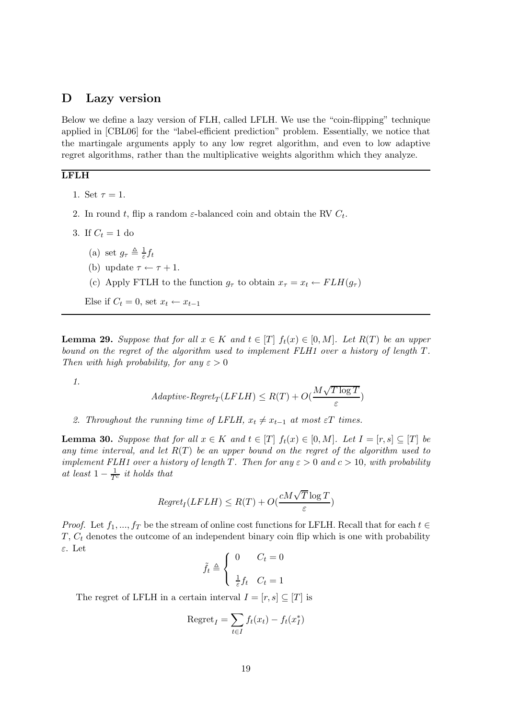### D Lazy version

Below we define a lazy version of FLH, called LFLH. We use the "coin-flipping" technique applied in [CBL06] for the "label-efficient prediction" problem. Essentially, we notice that the martingale arguments apply to any low regret algorithm, and even to low adaptive regret algorithms, rather than the multiplicative weights algorithm which they analyze.

### LFLH

- 1. Set  $\tau = 1$ .
- 2. In round t, flip a random  $\varepsilon$ -balanced coin and obtain the RV  $C_t$ .
- 3. If  $C_t = 1$  do
	- (a) set  $g_{\tau} \triangleq \frac{1}{\varepsilon}$  $\frac{1}{\varepsilon} f_t$
	- (b) update  $\tau \leftarrow \tau + 1$ .
	- (c) Apply FTLH to the function  $g_{\tau}$  to obtain  $x_{\tau} = x_t \leftarrow F L H(g_{\tau})$

Else if  $C_t = 0$ , set  $x_t \leftarrow x_{t-1}$ 

**Lemma 29.** Suppose that for all  $x \in K$  and  $t \in [T]$   $f_t(x) \in [0, M]$ . Let  $R(T)$  be an upper bound on the regret of the algorithm used to implement FLH1 over a history of length T. Then with high probability, for any  $\varepsilon > 0$ 

1.

$$
Adaptive \text{-}Regret_T(LFLH) \le R(T) + O(\frac{M\sqrt{T \log T}}{\varepsilon})
$$

2. Throughout the running time of LFLH,  $x_t \neq x_{t-1}$  at most  $\varepsilon T$  times.

**Lemma 30.** Suppose that for all  $x \in K$  and  $t \in [T]$   $f_t(x) \in [0, M]$ . Let  $I = [r, s] \subseteq [T]$  be any time interval, and let  $R(T)$  be an upper bound on the regret of the algorithm used to implement FLH1 over a history of length T. Then for any  $\varepsilon > 0$  and  $c > 10$ , with probability at least  $1 - \frac{1}{T^c}$  it holds that

$$
Regret_I(LFLH) \le R(T) + O(\frac{cM\sqrt{T}\log T}{\varepsilon})
$$

*Proof.* Let  $f_1, ..., f_T$  be the stream of online cost functions for LFLH. Recall that for each  $t \in$  $T, C_t$  denotes the outcome of an independent binary coin flip which is one with probability ε. Let

$$
\tilde{f}_t \triangleq \begin{cases} 0 & C_t = 0 \\ \frac{1}{\varepsilon} f_t & C_t = 1 \end{cases}
$$

The regret of LFLH in a certain interval  $I = [r, s] \subseteq [T]$  is

$$
\text{Regret}_I = \sum_{t \in I} f_t(x_t) - f_t(x_I^*)
$$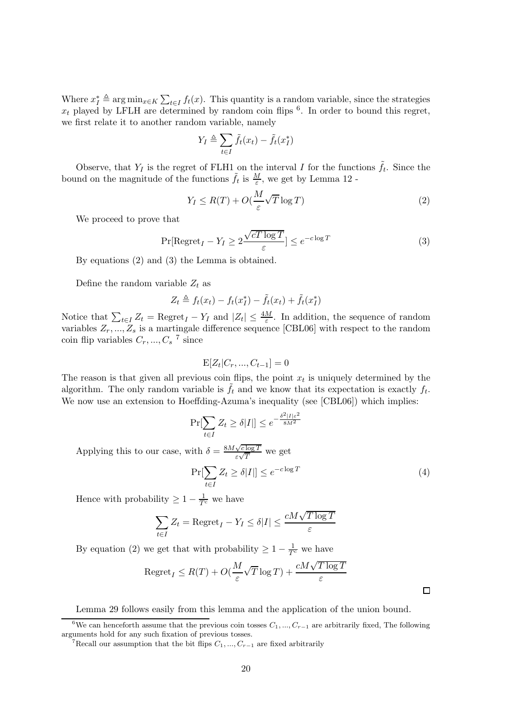Where  $x_I^* \triangleq \arg \min_{x \in K} \sum_{t \in I} f_t(x)$ . This quantity is a random variable, since the strategies  $x_t$  played by LFLH are determined by random coin flips  $\delta$ . In order to bound this regret, we first relate it to another random variable, namely

$$
Y_I \triangleq \sum_{t \in I} \tilde{f}_t(x_t) - \tilde{f}_t(x_I^*)
$$

Observe, that  $Y_I$  is the regret of FLH1 on the interval I for the functions  $\tilde{f}_t$ . Since the bound on the magnitude of the functions  $\tilde{f}_t$  is  $\frac{M}{\varepsilon}$ , we get by Lemma 12 -

$$
Y_I \le R(T) + O(\frac{M}{\varepsilon}\sqrt{T}\log T) \tag{2}
$$

We proceed to prove that

$$
\Pr[\text{Regret}_I - Y_I \ge 2 \frac{\sqrt{cT \log T}}{\varepsilon}] \le e^{-c \log T} \tag{3}
$$

By equations (2) and (3) the Lemma is obtained.

Define the random variable  $Z_t$  as

$$
Z_t \triangleq f_t(x_t) - f_t(x_t^*) - \tilde{f}_t(x_t) + \tilde{f}_t(x_t^*)
$$

Notice that  $\sum_{t\in I} Z_t = \text{Regret}_I - Y_I$  and  $|Z_t| \leq \frac{4M}{\varepsilon}$ . In addition, the sequence of random variables  $Z_r, ..., Z_s$  is a martingale difference sequence [CBL06] with respect to the random coin flip variables  $C_r, ..., C_s$ <sup>7</sup> since

$$
E[Z_t|C_r, ..., C_{t-1}] = 0
$$

The reason is that given all previous coin flips, the point  $x_t$  is uniquely determined by the algorithm. The only random variable is  $\tilde{f}_t$  and we know that its expectation is exactly  $f_t$ . We now use an extension to Hoeffding-Azuma's inequality (see [CBL06]) which implies:

$$
\Pr[\sum_{t \in I} Z_t \ge \delta |I|] \le e^{-\frac{\delta^2 |I|\varepsilon^2}{8M^2}}
$$
  
with  $\delta = \frac{8M\sqrt{c \log T}}{\varepsilon \sqrt{T}}$  we get

(4)

 $\Box$ 

 $Pr[\sum_{i}$ t∈I  $Z_t \geq \delta |I| \leq e^{-c \log T}$ 

Hence with probability  $\geq 1 - \frac{1}{T^c}$  we have

Applying this to our case,

$$
\sum_{t \in I} Z_t = \text{Regret}_I - Y_I \le \delta |I| \le \frac{cM\sqrt{T \log T}}{\varepsilon}
$$

By equation (2) we get that with probability  $\geq 1 - \frac{1}{T^c}$  we have

$$
\mathrm{Regret}_I \le R(T) + O(\frac{M}{\varepsilon}\sqrt{T}\log T) + \frac{cM\sqrt{T\log T}}{\varepsilon}
$$

Lemma 29 follows easily from this lemma and the application of the union bound.

<sup>&</sup>lt;sup>6</sup>We can henceforth assume that the previous coin tosses  $C_1, ..., C_{r-1}$  are arbitrarily fixed, The following arguments hold for any such fixation of previous tosses.

<sup>&</sup>lt;sup>7</sup>Recall our assumption that the bit flips  $C_1, ..., C_{r-1}$  are fixed arbitrarily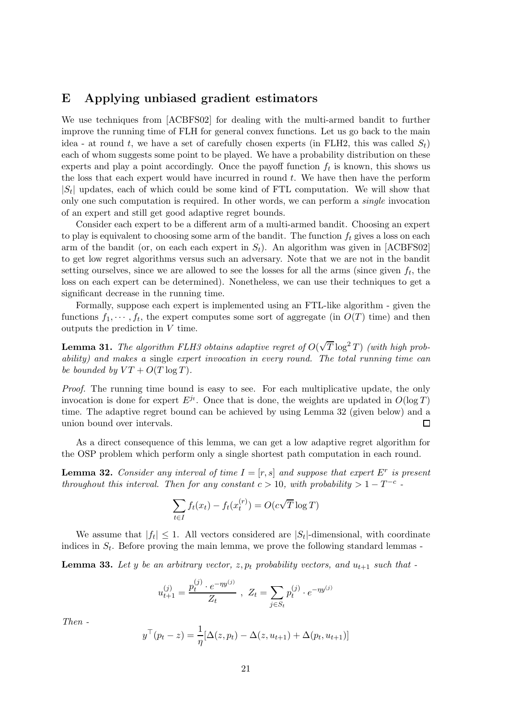# E Applying unbiased gradient estimators

We use techniques from [ACBFS02] for dealing with the multi-armed bandit to further improve the running time of FLH for general convex functions. Let us go back to the main idea - at round t, we have a set of carefully chosen experts (in FLH2, this was called  $S_t$ ) each of whom suggests some point to be played. We have a probability distribution on these experts and play a point accordingly. Once the payoff function  $f_t$  is known, this shows us the loss that each expert would have incurred in round  $t$ . We have then have the perform  $|S_t|$  updates, each of which could be some kind of FTL computation. We will show that only one such computation is required. In other words, we can perform a single invocation of an expert and still get good adaptive regret bounds.

Consider each expert to be a different arm of a multi-armed bandit. Choosing an expert to play is equivalent to choosing some arm of the bandit. The function  $f_t$  gives a loss on each arm of the bandit (or, on each each expert in  $S_t$ ). An algorithm was given in [ACBFS02] to get low regret algorithms versus such an adversary. Note that we are not in the bandit setting ourselves, since we are allowed to see the losses for all the arms (since given  $f_t$ , the loss on each expert can be determined). Nonetheless, we can use their techniques to get a significant decrease in the running time.

Formally, suppose each expert is implemented using an FTL-like algorithm - given the functions  $f_1, \dots, f_t$ , the expert computes some sort of aggregate (in  $O(T)$  time) and then outputs the prediction in V time.

**Lemma 31.** The algorithm FLH3 obtains adaptive regret of  $O(\sqrt{T} \log^2 T)$  (with high probability) and makes a single expert invocation in every round. The total running time can be bounded by  $VT + O(T \log T)$ .

Proof. The running time bound is easy to see. For each multiplicative update, the only invocation is done for expert  $E^{j_t}$ . Once that is done, the weights are updated in  $O(\log T)$ time. The adaptive regret bound can be achieved by using Lemma 32 (given below) and a union bound over intervals.  $\Box$ 

As a direct consequence of this lemma, we can get a low adaptive regret algorithm for the OSP problem which perform only a single shortest path computation in each round.

**Lemma 32.** Consider any interval of time  $I = [r, s]$  and suppose that expert  $E^r$  is present throughout this interval. Then for any constant  $c > 10$ , with probability  $> 1 - T^{-c}$ .

$$
\sum_{t \in I} f_t(x_t) - f_t(x_t^{(r)}) = O(c\sqrt{T} \log T)
$$

We assume that  $|f_t| \leq 1$ . All vectors considered are  $|S_t|$ -dimensional, with coordinate indices in  $S_t$ . Before proving the main lemma, we prove the following standard lemmas -

**Lemma 33.** Let y be an arbitrary vector,  $z, p_t$  probability vectors, and  $u_{t+1}$  such that -

$$
u_{t+1}^{(j)} = \frac{p_t^{(j)} \cdot e^{-\eta y^{(j)}}}{Z_t}, \ Z_t = \sum_{j \in S_t} p_t^{(j)} \cdot e^{-\eta y^{(j)}}
$$

Then -

$$
y^{\top}(p_t - z) = \frac{1}{\eta} [\Delta(z, p_t) - \Delta(z, u_{t+1}) + \Delta(p_t, u_{t+1})]
$$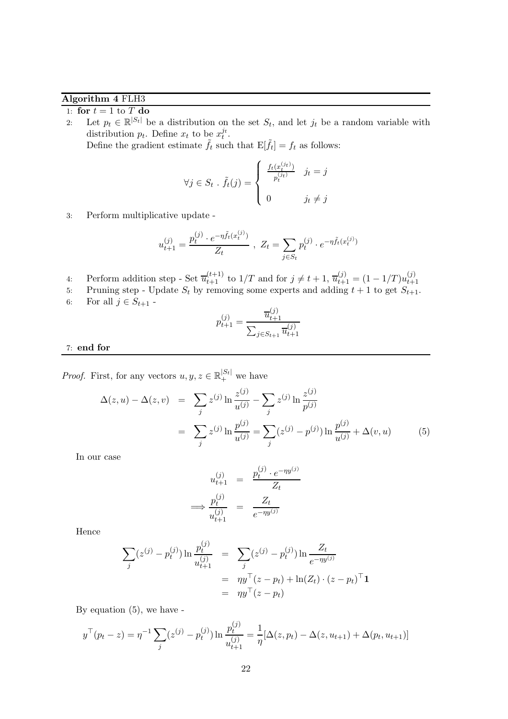# Algorithm 4 FLH3

1: for  $t = 1$  to  $T$  do

2: Let  $p_t \in \mathbb{R}^{|S_t|}$  be a distribution on the set  $S_t$ , and let  $j_t$  be a random variable with distribution  $p_t$ . Define  $x_t$  to be  $x_t^{j_t}$ . Define the gradient estimate  $\tilde{f}_t$  such that  $E[\tilde{f}_t] = f_t$  as follows:

$$
\forall j \in S_t \; . \; \tilde{f}_t(j) = \begin{cases} \frac{f_t(x_t^{(jt)})}{p_t^{(jt)}} & j_t = j \\ 0 & j_t \neq j \end{cases}
$$

3: Perform multiplicative update -

$$
u_{t+1}^{(j)} = \frac{p_t^{(j)} \cdot e^{-\eta \tilde{f}_t(x_t^{(j)})}}{Z_t}, \ Z_t = \sum_{j \in S_t} p_t^{(j)} \cdot e^{-\eta \tilde{f}_t(x_t^{(j)})}
$$

- 4: Perform addition step Set  $\overline{u}_{t+1}^{(t+1)}$  to  $1/T$  and for  $j \neq t+1$ ,  $\overline{u}_{t+1}^{(j)} = (1 1/T)u_{t+1}^{(j)}$  $t+1$
- 5: Pruning step Update  $S_t$  by removing some experts and adding  $t + 1$  to get  $S_{t+1}$ .
- 6: For all  $j \in S_{t+1}$  -

$$
p_{t+1}^{(j)} = \frac{\overline{u}_{t+1}^{(j)}}{\sum_{j \in S_{t+1}} \overline{u}_{t+1}^{(j)}}
$$

#### 7: end for

*Proof.* First, for any vectors  $u, y, z \in \mathbb{R}^{|S_t|}_+$  we have

$$
\Delta(z, u) - \Delta(z, v) = \sum_{j} z^{(j)} \ln \frac{z^{(j)}}{u^{(j)}} - \sum_{j} z^{(j)} \ln \frac{z^{(j)}}{p^{(j)}}
$$

$$
= \sum_{j} z^{(j)} \ln \frac{p^{(j)}}{u^{(j)}} = \sum_{j} (z^{(j)} - p^{(j)}) \ln \frac{p^{(j)}}{u^{(j)}} + \Delta(v, u)
$$
(5)

In our case

$$
u_{t+1}^{(j)} = \frac{p_t^{(j)} \cdot e^{-\eta y^{(j)}}}{Z_t}
$$

$$
\implies \frac{p_t^{(j)}}{u_{t+1}^{(j)}} = \frac{Z_t}{e^{-\eta y^{(j)}}}
$$

Hence

$$
\sum_{j} (z^{(j)} - p_t^{(j)}) \ln \frac{p_t^{(j)}}{u_{t+1}^{(j)}} = \sum_{j} (z^{(j)} - p_t^{(j)}) \ln \frac{Z_t}{e^{-\eta y^{(j)}}}
$$
  
=  $\eta y^\top (z - p_t) + \ln(Z_t) \cdot (z - p_t)^\top \mathbf{1}$   
=  $\eta y^\top (z - p_t)$ 

By equation (5), we have -

$$
y^{\top}(p_t - z) = \eta^{-1} \sum_j (z^{(j)} - p_t^{(j)}) \ln \frac{p_t^{(j)}}{u_{t+1}^{(j)}} = \frac{1}{\eta} [\Delta(z, p_t) - \Delta(z, u_{t+1}) + \Delta(p_t, u_{t+1})]
$$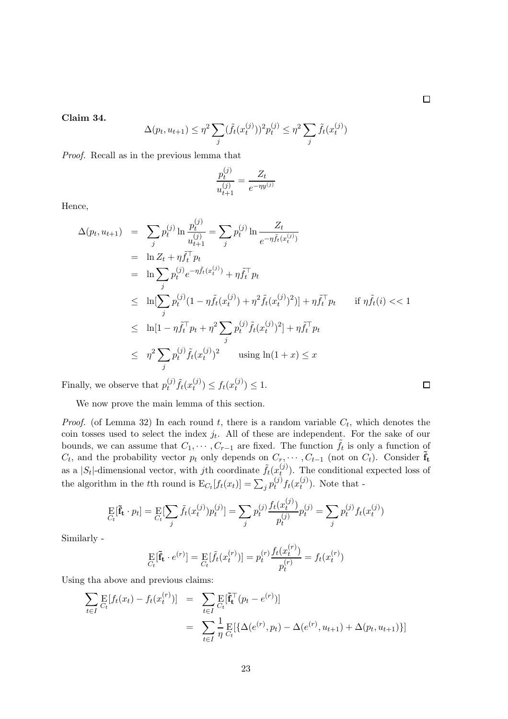$\Box$ 

 $\Box$ 

Claim 34.

$$
\Delta(p_t, u_{t+1}) \le \eta^2 \sum_j (\tilde{f}_t(x_t^{(j)}))^2 p_t^{(j)} \le \eta^2 \sum_j \tilde{f}_t(x_t^{(j)})
$$

Proof. Recall as in the previous lemma that

$$
\frac{p_t^{(j)}}{u_{t+1}^{(j)}} = \frac{Z_t}{e^{-\eta y^{(j)}}}
$$

Hence,

$$
\Delta(p_t, u_{t+1}) = \sum_j p_t^{(j)} \ln \frac{p_t^{(j)}}{u_{t+1}^{(j)}} = \sum_j p_t^{(j)} \ln \frac{Z_t}{e^{-\eta \tilde{f}_t(x_t^{(j)})}}
$$
  
\n
$$
= \ln Z_t + \eta \tilde{f}_t^{\top} p_t
$$
  
\n
$$
= \ln \sum_j p_t^{(j)} e^{-\eta \tilde{f}_t(x_t^{(j)})} + \eta \tilde{f}_t^{\top} p_t
$$
  
\n
$$
\leq \ln[\sum_j p_t^{(j)} (1 - \eta \tilde{f}_t(x_t^{(j)}) + \eta^2 \tilde{f}_t(x_t^{(j)})^2)] + \eta \tilde{f}_t^{\top} p_t \quad \text{if } \eta \tilde{f}_t(i) < 1
$$
  
\n
$$
\leq \ln[1 - \eta \tilde{f}_t^{\top} p_t + \eta^2 \sum_j p_t^{(j)} \tilde{f}_t(x_t^{(j)})^2] + \eta \tilde{f}_t^{\top} p_t
$$
  
\n
$$
\leq \eta^2 \sum_j p_t^{(j)} \tilde{f}_t(x_t^{(j)})^2 \quad \text{using } \ln(1+x) \leq x
$$

Finally, we observe that  $p_t^{(j)}$  $_{t}^{\left( j\right) }\tilde{f}_{t}(x_{t}^{\left( j\right) }% )=\gamma _{t}(x_{t}^{\left( j\right) })$  $f_t^{(j)}$ )  $\leq f_t(x_t^{(j)})$  $t^{(J)}\geq 1.$ 

We now prove the main lemma of this section.

*Proof.* (of Lemma 32) In each round t, there is a random variable  $C_t$ , which denotes the coin tosses used to select the index  $j_t$ . All of these are independent. For the sake of our bounds, we can assume that  $C_1, \cdots, C_{r-1}$  are fixed. The function  $\tilde{f}_t$  is only a function of  $C_t$ , and the probability vector  $p_t$  only depends on  $C_r, \dots, C_{t-1}$  (not on  $C_t$ ). Consider  $\tilde{\mathbf{f}}_t$ as a  $|S_t|$ -dimensional vector, with jth coordinate  $\tilde{f}_t(x_t^{(j)})$  $t<sub>t</sub><sup>(J)</sup>$ . The conditional expected loss of the algorithm in the tth round is  $E_{C_t}[f_t(x_t)] = \sum_j p_t^{(j)}$  $_{t}^{(j)}f_{t}(x_{t}^{(j)})$  $t^{(J)}$ ). Note that -

$$
\mathop{\mathrm{E}}_{C_t}[\tilde{\mathbf{f}}_t \cdot p_t] = \mathop{\mathrm{E}}_{C_t}[\sum_j \tilde{f}_t(x_t^{(j)}) p_t^{(j)}] = \sum_j p_t^{(j)} \frac{f_t(x_t^{(j)})}{p_t^{(j)}} p_t^{(j)} = \sum_j p_t^{(j)} f_t(x_t^{(j)})
$$

Similarly -

$$
\mathop{\mathrm{E}}_{C_t} [\tilde{\mathbf{f}}_t \cdot e^{(r)}] = \mathop{\mathrm{E}}_{C_t} [\tilde{f}_t(x_t^{(r)})] = p_t^{(r)} \frac{f_t(x_t^{(r)})}{p_t^{(r)}} = f_t(x_t^{(r)})
$$

Using tha above and previous claims:

$$
\sum_{t \in I} \mathop{\mathrm{E}}_{C_t} [f_t(x_t) - f_t(x_t^{(r)})] = \sum_{t \in I} \mathop{\mathrm{E}}_{C_t} [\tilde{\mathbf{f}}_t^{\top} (p_t - e^{(r)})]
$$
\n
$$
= \sum_{t \in I} \frac{1}{\eta} \mathop{\mathrm{E}}_{C_t} [\{\Delta(e^{(r)}, p_t) - \Delta(e^{(r)}, u_{t+1}) + \Delta(p_t, u_{t+1})\}]
$$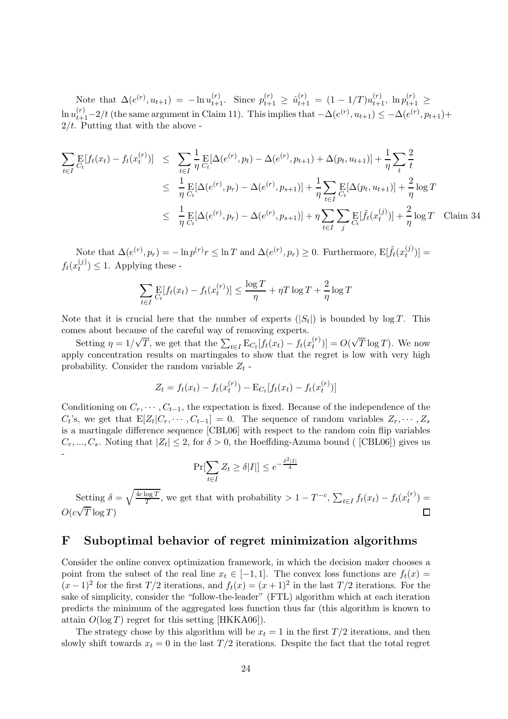Note that  $\Delta(e^{(r)}, u_{t+1}) = -\ln u_{t+1}^{(r)}$ . Since  $p_{t+1}^{(r)} \ge \hat{u}_{t+1}^{(r)} = (1 - 1/T)u_{t+1}^{(r)}$ ,  $\ln p_{t+1}^{(r)} \ge$  $\ln u_{t+1}^{(r)}-2/t$  (the same argument in Claim 11). This implies that  $-\Delta(e^{(r)}, u_{t+1}) \le -\Delta(e^{(r)}, p_{t+1})+$  $2/t$ . Putting that with the above -

$$
\sum_{t \in I} \mathbb{E}[f_t(x_t) - f_t(x_t^{(r)})] \leq \sum_{t \in I} \frac{1}{\eta} \mathbb{E}[\Delta(e^{(r)}, p_t) - \Delta(e^{(r)}, p_{t+1}) + \Delta(p_t, u_{t+1})] + \frac{1}{\eta} \sum_t \frac{2}{t}
$$
\n
$$
\leq \frac{1}{\eta} \mathbb{E}[\Delta(e^{(r)}, p_r) - \Delta(e^{(r)}, p_{s+1})] + \frac{1}{\eta} \sum_{t \in I} \mathbb{E}[\Delta(p_t, u_{t+1})] + \frac{2}{\eta} \log T
$$
\n
$$
\leq \frac{1}{\eta} \mathbb{E}[\Delta(e^{(r)}, p_r) - \Delta(e^{(r)}, p_{s+1})] + \eta \sum_{t \in I} \sum_{j} \mathbb{E}[\tilde{f}_t(x_t^{(j)})] + \frac{2}{\eta} \log T \quad \text{Claim 34}
$$

Note that  $\Delta(e^{(r)}, p_r) = -\ln p^{(r)}r \leq \ln T$  and  $\Delta(e^{(r)}, p_r) \geq 0$ . Furthermore,  $\mathbb{E}[\tilde{f}_t(x_t^{(j)})]$  $_{t}^{(J)}$ ] =  $f_t(x_t^{(j)})$  $t^{(J)}(t) \leq 1$ . Applying these -

$$
\sum_{t \in I} \mathop{\mathrm{E}}_{C_t} [f_t(x_t) - f_t(x_t^{(r)})] \le \frac{\log T}{\eta} + \eta T \log T + \frac{2}{\eta} \log T
$$

Note that it is crucial here that the number of experts  $(|S_t|)$  is bounded by  $\log T$ . This comes about because of the careful way of removing experts.

Setting  $\eta = 1/\sqrt{T}$ , we get that the  $\sum_{t \in I} \mathbf{E}_{C_t}[f_t(x_t) - f_t(x_t^{(r)})]$  $t^{(r)}(t)$ ] =  $O(\sqrt{T} \log T)$ . We now apply concentration results on martingales to show that the regret is low with very high probability. Consider the random variable  $Z_t$  -

$$
Z_t = f_t(x_t) - f_t(x_t^{(r)}) - \mathbf{E}_{C_t}[f_t(x_t) - f_t(x_t^{(r)})]
$$

Conditioning on  $C_r, \dots, C_{t-1}$ , the expectation is fixed. Because of the independence of the  $C_t$ 's, we get that  $E[Z_t|C_r, \cdots, C_{t-1}] = 0$ . The sequence of random variables  $Z_r, \cdots, Z_s$ is a martingale difference sequence [CBL06] with respect to the random coin flip variables  $C_r, ..., C_s$ . Noting that  $|Z_t| \leq 2$ , for  $\delta > 0$ , the Hoeffding-Azuma bound ([CBL06]) gives us -

$$
\Pr[\sum_{t \in I} Z_t \ge \delta |I|] \le e^{-\frac{\delta^2 |I|}{4}}
$$

Setting  $\delta = \sqrt{\frac{4c \log T}{T}}$  $\frac{\log T}{T}$ , we get that with probability > 1 – T<sup>-c</sup>,  $\sum_{t \in I} f_t(x_t) - f_t(x_t^{(r)})$  $t^{(r)}(t) =$  $O(c\sqrt{T}\log T)$ 

### F Suboptimal behavior of regret minimization algorithms

Consider the online convex optimization framework, in which the decision maker chooses a point from the subset of the real line  $x_t \in [-1,1]$ . The convex loss functions are  $f_t(x) =$  $(x-1)^2$  for the first  $T/2$  iterations, and  $f_t(x) = (x+1)^2$  in the last  $T/2$  iterations. For the sake of simplicity, consider the "follow-the-leader" (FTL) algorithm which at each iteration predicts the minimum of the aggregated loss function thus far (this algorithm is known to attain  $O(\log T)$  regret for this setting [HKKA06]).

The strategy chose by this algorithm will be  $x_t = 1$  in the first  $T/2$  iterations, and then slowly shift towards  $x_t = 0$  in the last  $T/2$  iterations. Despite the fact that the total regret